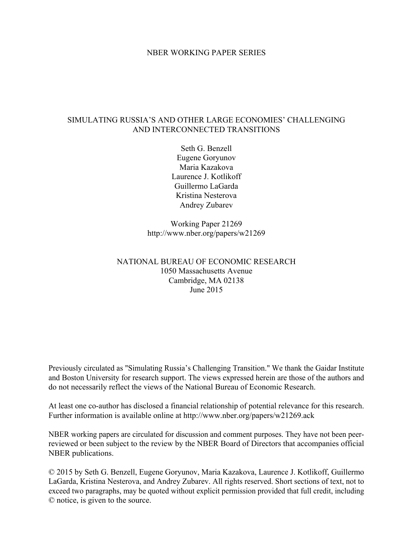#### NBER WORKING PAPER SERIES

#### SIMULATING RUSSIA'S AND OTHER LARGE ECONOMIES' CHALLENGING AND INTERCONNECTED TRANSITIONS

Seth G. Benzell Eugene Goryunov Maria Kazakova Laurence J. Kotlikoff Guillermo LaGarda Kristina Nesterova Andrey Zubarev

Working Paper 21269 http://www.nber.org/papers/w21269

NATIONAL BUREAU OF ECONOMIC RESEARCH 1050 Massachusetts Avenue Cambridge, MA 02138 June 2015

Previously circulated as "Simulating Russia's Challenging Transition." We thank the Gaidar Institute and Boston University for research support. The views expressed herein are those of the authors and do not necessarily reflect the views of the National Bureau of Economic Research.

At least one co-author has disclosed a financial relationship of potential relevance for this research. Further information is available online at http://www.nber.org/papers/w21269.ack

NBER working papers are circulated for discussion and comment purposes. They have not been peerreviewed or been subject to the review by the NBER Board of Directors that accompanies official NBER publications.

© 2015 by Seth G. Benzell, Eugene Goryunov, Maria Kazakova, Laurence J. Kotlikoff, Guillermo LaGarda, Kristina Nesterova, and Andrey Zubarev. All rights reserved. Short sections of text, not to exceed two paragraphs, may be quoted without explicit permission provided that full credit, including © notice, is given to the source.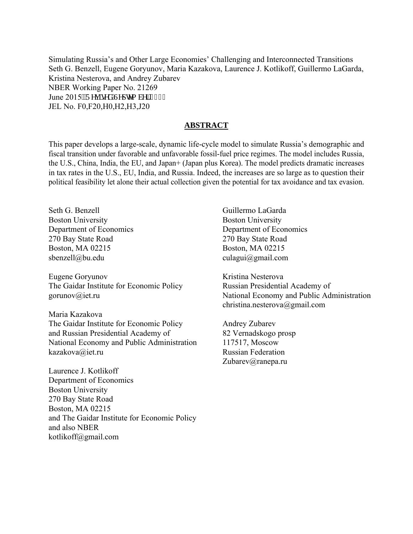Simulating Russia's and Other Large Economies' Challenging and Interconnected Transitions Seth G. Benzell, Eugene Goryunov, Maria Kazakova, Laurence J. Kotlikoff, Guillermo LaGarda, Kristina Nesterova, and Andrey Zubarev NBER Working Paper No. 21269 June 2015. T gxkugf "Ugr vgo dgt 4237 JEL No. F0,F20,H0,H2,H3,J20

#### **ABSTRACT**

This paper develops a large-scale, dynamic life-cycle model to simulate Russia's demographic and fiscal transition under favorable and unfavorable fossil-fuel price regimes. The model includes Russia, the U.S., China, India, the EU, and Japan+ (Japan plus Korea). The model predicts dramatic increases in tax rates in the U.S., EU, India, and Russia. Indeed, the increases are so large as to question their political feasibility let alone their actual collection given the potential for tax avoidance and tax evasion.

Seth G. Benzell Boston University Department of Economics 270 Bay State Road Boston, MA 02215 sbenzell@bu.edu

Eugene Goryunov The Gaidar Institute for Economic Policy gorunov@iet.ru

Maria Kazakova The Gaidar Institute for Economic Policy and Russian Presidential Academy of National Economy and Public Administration kazakova@iet.ru

Laurence J. Kotlikoff Department of Economics Boston University 270 Bay State Road Boston, MA 02215 and The Gaidar Institute for Economic Policy and also NBER kotlikoff@gmail.com

 Guillermo LaGarda Boston University Department of Economics 270 Bay State Road Boston, MA 02215 culagui@gmail.com

 Kristina Nesterova Russian Presidential Academy of National Economy and Public Administration christina.nesterova@gmail.com

 Andrey Zubarev 82 Vernadskogo prosp 117517, Moscow Russian Federation Zubarev@ranepa.ru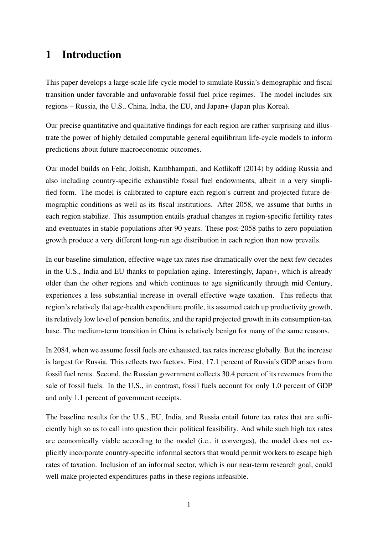# 1 Introduction

This paper develops a large-scale life-cycle model to simulate Russia's demographic and fiscal transition under favorable and unfavorable fossil fuel price regimes. The model includes six regions – Russia, the U.S., China, India, the EU, and Japan+ (Japan plus Korea).

Our precise quantitative and qualitative findings for each region are rather surprising and illustrate the power of highly detailed computable general equilibrium life-cycle models to inform predictions about future macroeconomic outcomes.

Our model builds on Fehr, Jokish, Kambhampati, and Kotlikoff (2014) by adding Russia and also including country-specific exhaustible fossil fuel endowments, albeit in a very simplified form. The model is calibrated to capture each region's current and projected future demographic conditions as well as its fiscal institutions. After 2058, we assume that births in each region stabilize. This assumption entails gradual changes in region-specific fertility rates and eventuates in stable populations after 90 years. These post-2058 paths to zero population growth produce a very different long-run age distribution in each region than now prevails.

In our baseline simulation, effective wage tax rates rise dramatically over the next few decades in the U.S., India and EU thanks to population aging. Interestingly, Japan+, which is already older than the other regions and which continues to age significantly through mid Century, experiences a less substantial increase in overall effective wage taxation. This reflects that region's relatively flat age-health expenditure profile, its assumed catch up productivity growth, its relatively low level of pension benefits, and the rapid projected growth in its consumption-tax base. The medium-term transition in China is relatively benign for many of the same reasons.

In 2084, when we assume fossil fuels are exhausted, tax rates increase globally. But the increase is largest for Russia. This reflects two factors. First, 17.1 percent of Russia's GDP arises from fossil fuel rents. Second, the Russian government collects 30.4 percent of its revenues from the sale of fossil fuels. In the U.S., in contrast, fossil fuels account for only 1.0 percent of GDP and only 1.1 percent of government receipts.

The baseline results for the U.S., EU, India, and Russia entail future tax rates that are sufficiently high so as to call into question their political feasibility. And while such high tax rates are economically viable according to the model (i.e., it converges), the model does not explicitly incorporate country-specific informal sectors that would permit workers to escape high rates of taxation. Inclusion of an informal sector, which is our near-term research goal, could well make projected expenditures paths in these regions infeasible.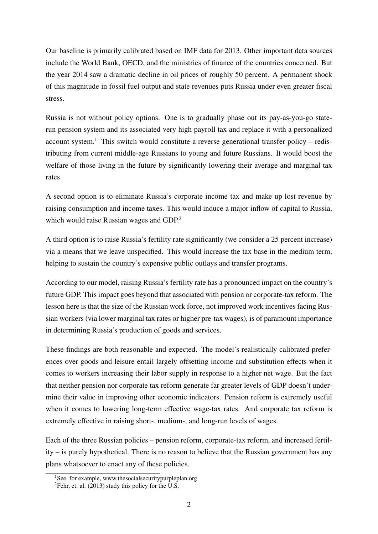Our baseline is primarily calibrated based on IMF data for 2013. Other important data sources include the World Bank, OECD, and the ministries of finance of the countries concerned. But the year 2014 saw a dramatic decline in oil prices of roughly 50 percent. A permanent shock of this magnitude in fossil fuel output and state revenues puts Russia under even greater fiscal stress.

Russia is not without policy options. One is to gradually phase out its pay-as-you-go staterun pension system and its associated very high payroll tax and replace it with a personalized account system.<sup>1</sup> This switch would constitute a reverse generational transfer policy – redistributing from current middle-age Russians to young and future Russians. It would boost the welfare of those living in the future by significantly lowering their average and marginal tax rates.

A second option is to eliminate Russia's corporate income tax and make up lost revenue by raising consumption and income taxes. This would induce a major inflow of capital to Russia, which would raise Russian wages and GDP.<sup>2</sup>

A third option is to raise Russia's fertility rate significantly (we consider a 25 percent increase) via a means that we leave unspecified. This would increase the tax base in the medium term, helping to sustain the country's expensive public outlays and transfer programs.

According to our model, raising Russia's fertility rate has a pronounced impact on the country's future GDP. This impact goes beyond that associated with pension or corporate-tax reform. The lesson here is that the size of the Russian work force, not improved work incentives facing Russian workers (via lower marginal tax rates or higher pre-tax wages), is of paramount importance in determining Russia's production of goods and services.

These findings are both reasonable and expected. The model's realistically calibrated preferences over goods and leisure entail largely offsetting income and substitution effects when it comes to workers increasing their labor supply in response to a higher net wage. But the fact that neither pension nor corporate tax reform generate far greater levels of GDP doesn't undermine their value in improving other economic indicators. Pension reform is extremely useful when it comes to lowering long-term effective wage-tax rates. And corporate tax reform is extremely effective in raising short-, medium-, and long-run levels of wages.

Each of the three Russian policies – pension reform, corporate-tax reform, and increased fertility – is purely hypothetical. There is no reason to believe that the Russian government has any plans whatsoever to enact any of these policies.

<sup>&</sup>lt;sup>1</sup>See, for example, www.thesocialsecuritypurpleplan.org

 ${}^{2}$ Fehr, et. al. (2013) study this policy for the U.S.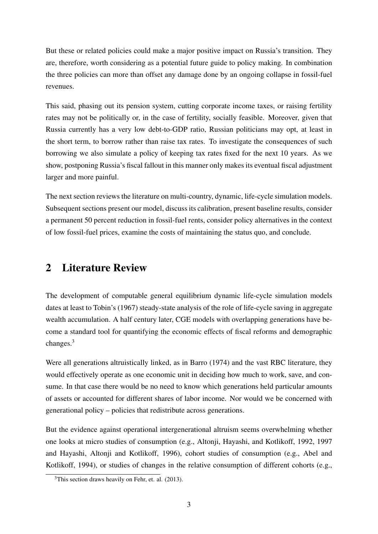But these or related policies could make a major positive impact on Russia's transition. They are, therefore, worth considering as a potential future guide to policy making. In combination the three policies can more than offset any damage done by an ongoing collapse in fossil-fuel revenues.

This said, phasing out its pension system, cutting corporate income taxes, or raising fertility rates may not be politically or, in the case of fertility, socially feasible. Moreover, given that Russia currently has a very low debt-to-GDP ratio, Russian politicians may opt, at least in the short term, to borrow rather than raise tax rates. To investigate the consequences of such borrowing we also simulate a policy of keeping tax rates fixed for the next 10 years. As we show, postponing Russia's fiscal fallout in this manner only makes its eventual fiscal adjustment larger and more painful.

The next section reviews the literature on multi-country, dynamic, life-cycle simulation models. Subsequent sections present our model, discuss its calibration, present baseline results, consider a permanent 50 percent reduction in fossil-fuel rents, consider policy alternatives in the context of low fossil-fuel prices, examine the costs of maintaining the status quo, and conclude.

# 2 Literature Review

The development of computable general equilibrium dynamic life-cycle simulation models dates at least to Tobin's (1967) steady-state analysis of the role of life-cycle saving in aggregate wealth accumulation. A half century later, CGE models with overlapping generations have become a standard tool for quantifying the economic effects of fiscal reforms and demographic changes.<sup>3</sup>

Were all generations altruistically linked, as in Barro (1974) and the vast RBC literature, they would effectively operate as one economic unit in deciding how much to work, save, and consume. In that case there would be no need to know which generations held particular amounts of assets or accounted for different shares of labor income. Nor would we be concerned with generational policy – policies that redistribute across generations.

But the evidence against operational intergenerational altruism seems overwhelming whether one looks at micro studies of consumption (e.g., Altonji, Hayashi, and Kotlikoff, 1992, 1997 and Hayashi, Altonji and Kotlikoff, 1996), cohort studies of consumption (e.g., Abel and Kotlikoff, 1994), or studies of changes in the relative consumption of different cohorts (e.g.,

<sup>3</sup>This section draws heavily on Fehr, et. al. (2013).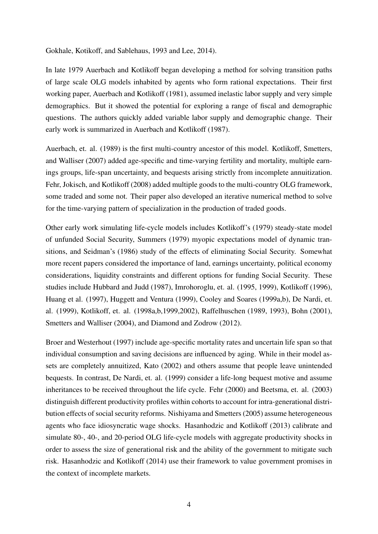Gokhale, Kotikoff, and Sablehaus, 1993 and Lee, 2014).

In late 1979 Auerbach and Kotlikoff began developing a method for solving transition paths of large scale OLG models inhabited by agents who form rational expectations. Their first working paper, Auerbach and Kotlikoff (1981), assumed inelastic labor supply and very simple demographics. But it showed the potential for exploring a range of fiscal and demographic questions. The authors quickly added variable labor supply and demographic change. Their early work is summarized in Auerbach and Kotlikoff (1987).

Auerbach, et. al. (1989) is the first multi-country ancestor of this model. Kotlikoff, Smetters, and Walliser (2007) added age-specific and time-varying fertility and mortality, multiple earnings groups, life-span uncertainty, and bequests arising strictly from incomplete annuitization. Fehr, Jokisch, and Kotlikoff (2008) added multiple goods to the multi-country OLG framework, some traded and some not. Their paper also developed an iterative numerical method to solve for the time-varying pattern of specialization in the production of traded goods.

Other early work simulating life-cycle models includes Kotlikoff's (1979) steady-state model of unfunded Social Security, Summers (1979) myopic expectations model of dynamic transitions, and Seidman's (1986) study of the effects of eliminating Social Security. Somewhat more recent papers considered the importance of land, earnings uncertainty, political economy considerations, liquidity constraints and different options for funding Social Security. These studies include Hubbard and Judd (1987), Imrohoroglu, et. al. (1995, 1999), Kotlikoff (1996), Huang et al. (1997), Huggett and Ventura (1999), Cooley and Soares (1999a,b), De Nardi, et. al. (1999), Kotlikoff, et. al. (1998a,b,1999,2002), Raffelhuschen (1989, 1993), Bohn (2001), Smetters and Walliser (2004), and Diamond and Zodrow (2012).

Broer and Westerhout (1997) include age-specific mortality rates and uncertain life span so that individual consumption and saving decisions are influenced by aging. While in their model assets are completely annuitized, Kato (2002) and others assume that people leave unintended bequests. In contrast, De Nardi, et. al. (1999) consider a life-long bequest motive and assume inheritances to be received throughout the life cycle. Fehr (2000) and Beetsma, et. al. (2003) distinguish different productivity profiles within cohorts to account for intra-generational distribution effects of social security reforms. Nishiyama and Smetters (2005) assume heterogeneous agents who face idiosyncratic wage shocks. Hasanhodzic and Kotlikoff (2013) calibrate and simulate 80-, 40-, and 20-period OLG life-cycle models with aggregate productivity shocks in order to assess the size of generational risk and the ability of the government to mitigate such risk. Hasanhodzic and Kotlikoff (2014) use their framework to value government promises in the context of incomplete markets.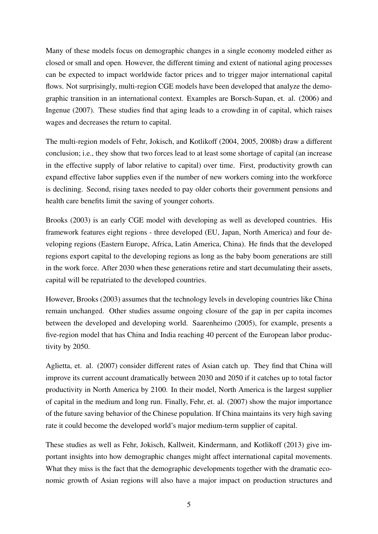Many of these models focus on demographic changes in a single economy modeled either as closed or small and open. However, the different timing and extent of national aging processes can be expected to impact worldwide factor prices and to trigger major international capital flows. Not surprisingly, multi-region CGE models have been developed that analyze the demographic transition in an international context. Examples are Borsch-Supan, et. al. (2006) and Ingenue (2007). These studies find that aging leads to a crowding in of capital, which raises wages and decreases the return to capital.

The multi-region models of Fehr, Jokisch, and Kotlikoff (2004, 2005, 2008b) draw a different conclusion; i.e., they show that two forces lead to at least some shortage of capital (an increase in the effective supply of labor relative to capital) over time. First, productivity growth can expand effective labor supplies even if the number of new workers coming into the workforce is declining. Second, rising taxes needed to pay older cohorts their government pensions and health care benefits limit the saving of younger cohorts.

Brooks (2003) is an early CGE model with developing as well as developed countries. His framework features eight regions - three developed (EU, Japan, North America) and four developing regions (Eastern Europe, Africa, Latin America, China). He finds that the developed regions export capital to the developing regions as long as the baby boom generations are still in the work force. After 2030 when these generations retire and start decumulating their assets, capital will be repatriated to the developed countries.

However, Brooks (2003) assumes that the technology levels in developing countries like China remain unchanged. Other studies assume ongoing closure of the gap in per capita incomes between the developed and developing world. Saarenheimo (2005), for example, presents a five-region model that has China and India reaching 40 percent of the European labor productivity by 2050.

Aglietta, et. al. (2007) consider different rates of Asian catch up. They find that China will improve its current account dramatically between 2030 and 2050 if it catches up to total factor productivity in North America by 2100. In their model, North America is the largest supplier of capital in the medium and long run. Finally, Fehr, et. al. (2007) show the major importance of the future saving behavior of the Chinese population. If China maintains its very high saving rate it could become the developed world's major medium-term supplier of capital.

These studies as well as Fehr, Jokisch, Kallweit, Kindermann, and Kotlikoff (2013) give important insights into how demographic changes might affect international capital movements. What they miss is the fact that the demographic developments together with the dramatic economic growth of Asian regions will also have a major impact on production structures and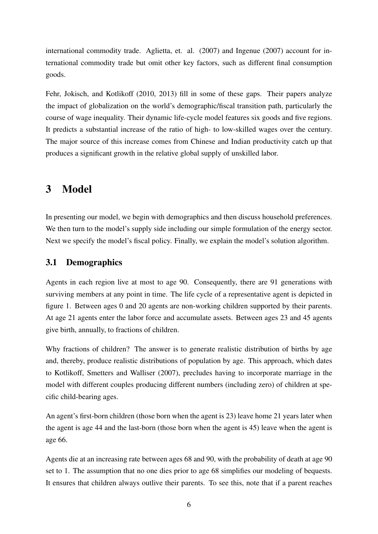international commodity trade. Aglietta, et. al. (2007) and Ingenue (2007) account for international commodity trade but omit other key factors, such as different final consumption goods.

Fehr, Jokisch, and Kotlikoff (2010, 2013) fill in some of these gaps. Their papers analyze the impact of globalization on the world's demographic/fiscal transition path, particularly the course of wage inequality. Their dynamic life-cycle model features six goods and five regions. It predicts a substantial increase of the ratio of high- to low-skilled wages over the century. The major source of this increase comes from Chinese and Indian productivity catch up that produces a significant growth in the relative global supply of unskilled labor.

# 3 Model

In presenting our model, we begin with demographics and then discuss household preferences. We then turn to the model's supply side including our simple formulation of the energy sector. Next we specify the model's fiscal policy. Finally, we explain the model's solution algorithm.

## 3.1 Demographics

Agents in each region live at most to age 90. Consequently, there are 91 generations with surviving members at any point in time. The life cycle of a representative agent is depicted in figure 1. Between ages 0 and 20 agents are non-working children supported by their parents. At age 21 agents enter the labor force and accumulate assets. Between ages 23 and 45 agents give birth, annually, to fractions of children.

Why fractions of children? The answer is to generate realistic distribution of births by age and, thereby, produce realistic distributions of population by age. This approach, which dates to Kotlikoff, Smetters and Walliser (2007), precludes having to incorporate marriage in the model with different couples producing different numbers (including zero) of children at specific child-bearing ages.

An agent's first-born children (those born when the agent is 23) leave home 21 years later when the agent is age 44 and the last-born (those born when the agent is 45) leave when the agent is age 66.

Agents die at an increasing rate between ages 68 and 90, with the probability of death at age 90 set to 1. The assumption that no one dies prior to age 68 simplifies our modeling of bequests. It ensures that children always outlive their parents. To see this, note that if a parent reaches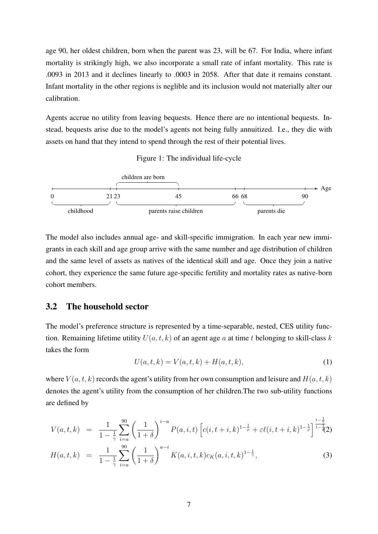age 90, her oldest children, born when the parent was 23, will be 67. For India, where infant mortality is strikingly high, we also incorporate a small rate of infant mortality. This rate is .0093 in 2013 and it declines linearly to .0003 in 2058. After that date it remains constant. Infant mortality in the other regions is neglible and its inclusion would not materially alter our calibration.

Agents accrue no utility from leaving bequests. Hence there are no intentional bequests. Instead, bequests arise due to the model's agents not being fully annuitized. I.e., they die with assets on hand that they intend to spend through the rest of their potential lives.





The model also includes annual age- and skill-specific immigration. In each year new immigrants in each skill and age group arrive with the same number and age distribution of children and the same level of assets as natives of the identical skill and age. Once they join a native cohort, they experience the same future age-specific fertility and mortality rates as native-born cohort members.

#### 3.2 The household sector

The model's preference structure is represented by a time-separable, nested, CES utility function. Remaining lifetime utility  $U(a, t, k)$  of an agent age a at time t belonging to skill-class k takes the form

$$
U(a, t, k) = V(a, t, k) + H(a, t, k),
$$
\n(1)

where  $V(a, t, k)$  records the agent's utility from her own consumption and leisure and  $H(a, t, k)$ denotes the agent's utility from the consumption of her children.The two sub-utility functions are defined by

$$
V(a,t,k) = \frac{1}{1-\frac{1}{\gamma}} \sum_{i=a}^{90} \left(\frac{1}{1+\delta}\right)^{i-a} P(a,i,t) \left[c(i,t+i,k)^{1-\frac{1}{\rho}} + \varepsilon \ell(i,t+i,k)^{1-\frac{1}{\rho}}\right]^{\frac{1-\frac{1}{\gamma}}{1-\frac{1}{\gamma}}}
$$
  

$$
H(a,t,k) = \frac{1}{1-\frac{1}{\gamma}} \sum_{i=a}^{90} \left(\frac{1}{1+\delta}\right)^{a-i} K(a,i,t,k) c_K(a,i,t,k)^{1-\frac{1}{\gamma}},
$$
 (3)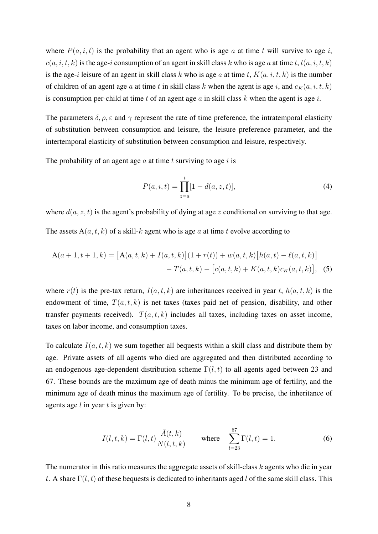where  $P(a, i, t)$  is the probability that an agent who is age a at time t will survive to age i,  $c(a, i, t, k)$  is the age-i consumption of an agent in skill class k who is age a at time t,  $l(a, i, t, k)$ is the age-i leisure of an agent in skill class k who is age a at time t,  $K(a, i, t, k)$  is the number of children of an agent age a at time t in skill class k when the agent is age i, and  $c_K(a, i, t, k)$ is consumption per-child at time t of an agent age a in skill class  $k$  when the agent is age  $i$ .

The parameters  $\delta$ ,  $\rho$ ,  $\varepsilon$  and  $\gamma$  represent the rate of time preference, the intratemporal elasticity of substitution between consumption and leisure, the leisure preference parameter, and the intertemporal elasticity of substitution between consumption and leisure, respectively.

The probability of an agent age  $a$  at time  $t$  surviving to age  $i$  is

$$
P(a, i, t) = \prod_{z=a}^{i} [1 - d(a, z, t)],
$$
\n(4)

where  $d(a, z, t)$  is the agent's probability of dying at age z conditional on surviving to that age.

The assets  $A(a, t, k)$  of a skill-k agent who is age a at time t evolve according to

$$
\mathbf{A}(a+1,t+1,k) = \left[\mathbf{A}(a,t,k) + I(a,t,k)\right](1+r(t)) + w(a,t,k)\left[h(a,t) - \ell(a,t,k)\right] \\
- T(a,t,k) - \left[c(a,t,k) + K(a,t,k)c_K(a,t,k)\right],
$$
 (5)

where  $r(t)$  is the pre-tax return,  $I(a, t, k)$  are inheritances received in year t,  $h(a, t, k)$  is the endowment of time,  $T(a, t, k)$  is net taxes (taxes paid net of pension, disability, and other transfer payments received).  $T(a, t, k)$  includes all taxes, including taxes on asset income, taxes on labor income, and consumption taxes.

To calculate  $I(a, t, k)$  we sum together all bequests within a skill class and distribute them by age. Private assets of all agents who died are aggregated and then distributed according to an endogenous age-dependent distribution scheme  $\Gamma(l, t)$  to all agents aged between 23 and 67. These bounds are the maximum age of death minus the minimum age of fertility, and the minimum age of death minus the maximum age of fertility. To be precise, the inheritance of agents age  $l$  in year  $t$  is given by:

$$
I(l,t,k) = \Gamma(l,t) \frac{\bar{A}(t,k)}{N(l,t,k)} \quad \text{where} \quad \sum_{l=23}^{67} \Gamma(l,t) = 1. \tag{6}
$$

The numerator in this ratio measures the aggregate assets of skill-class  $k$  agents who die in year t. A share  $\Gamma(l, t)$  of these bequests is dedicated to inheritants aged l of the same skill class. This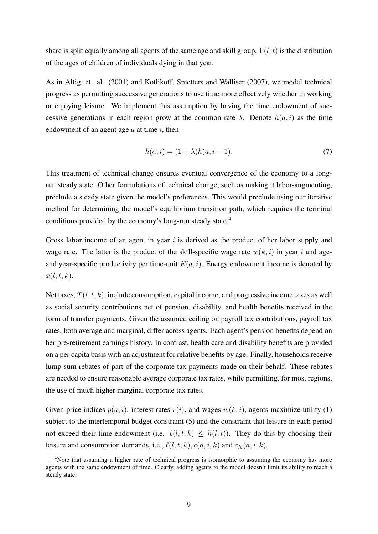share is split equally among all agents of the same age and skill group.  $\Gamma(l, t)$  is the distribution of the ages of children of individuals dying in that year.

As in Altig, et. al. (2001) and Kotlikoff, Smetters and Walliser (2007), we model technical progress as permitting successive generations to use time more effectively whether in working or enjoying leisure. We implement this assumption by having the time endowment of successive generations in each region grow at the common rate  $\lambda$ . Denote  $h(a, i)$  as the time endowment of an agent age  $a$  at time  $i$ , then

$$
h(a, i) = (1 + \lambda)h(a, i - 1).
$$
 (7)

This treatment of technical change ensures eventual convergence of the economy to a longrun steady state. Other formulations of technical change, such as making it labor-augmenting, preclude a steady state given the model's preferences. This would preclude using our iterative method for determining the model's equilibrium transition path, which requires the terminal conditions provided by the economy's long-run steady state.<sup>4</sup>

Gross labor income of an agent in year  $i$  is derived as the product of her labor supply and wage rate. The latter is the product of the skill-specific wage rate  $w(k, i)$  in year i and ageand year-specific productivity per time-unit  $E(a, i)$ . Energy endowment income is denoted by  $x(l, t, k)$ .

Net taxes,  $T(l, t, k)$ , include consumption, capital income, and progressive income taxes as well as social security contributions net of pension, disability, and health benefits received in the form of transfer payments. Given the assumed ceiling on payroll tax contributions, payroll tax rates, both average and marginal, differ across agents. Each agent's pension benefits depend on her pre-retirement earnings history. In contrast, health care and disability benefits are provided on a per capita basis with an adjustment for relative benefits by age. Finally, households receive lump-sum rebates of part of the corporate tax payments made on their behalf. These rebates are needed to ensure reasonable average corporate tax rates, while permitting, for most regions, the use of much higher marginal corporate tax rates.

Given price indices  $p(a, i)$ , interest rates  $r(i)$ , and wages  $w(k, i)$ , agents maximize utility (1) subject to the intertemporal budget constraint (5) and the constraint that leisure in each period not exceed their time endowment (i.e.  $\ell(l, t, k) \leq h(l, t)$ ). They do this by choosing their leisure and consumption demands, i.e.,  $\ell(l, t, k)$ ,  $c(a, i, k)$  and  $c_K(a, i, k)$ .

<sup>&</sup>lt;sup>4</sup>Note that assuming a higher rate of technical progress is isomorphic to assuming the economy has more agents with the same endowment of time. Clearly, adding agents to the model doesn't limit its ability to reach a steady state.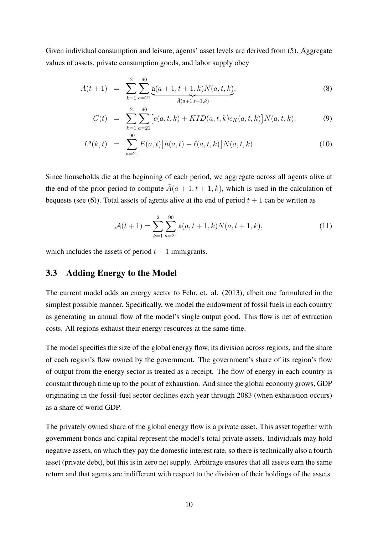Given individual consumption and leisure, agents' asset levels are derived from (5). Aggregate values of assets, private consumption goods, and labor supply obey

$$
A(t+1) = \sum_{k=1}^{2} \sum_{a=21}^{90} \underbrace{a(a+1,t+1,k)N(a,t,k)}_{\bar{A}(a+1,t+1,k)},
$$
\n(8)

$$
C(t) = \sum_{k=1}^{2} \sum_{a=21}^{90} \left[ c(a, t, k) + KID(a, t, k)c_K(a, t, k) \right] N(a, t, k), \tag{9}
$$

$$
L^{s}(k,t) = \sum_{a=21}^{90} E(a,t) [h(a,t) - \ell(a,t,k)] N(a,t,k).
$$
 (10)

Since households die at the beginning of each period, we aggregate across all agents alive at the end of the prior period to compute  $\overline{A}(a + 1, t + 1, k)$ , which is used in the calculation of bequests (see (6)). Total assets of agents alive at the end of period  $t + 1$  can be written as

$$
\mathcal{A}(t+1) = \sum_{k=1}^{2} \sum_{a=21}^{90} \mathbf{a}(a, t+1, k) N(a, t+1, k), \tag{11}
$$

which includes the assets of period  $t + 1$  immigrants.

#### 3.3 Adding Energy to the Model

The current model adds an energy sector to Fehr, et. al. (2013), albeit one formulated in the simplest possible manner. Specifically, we model the endowment of fossil fuels in each country as generating an annual flow of the model's single output good. This flow is net of extraction costs. All regions exhaust their energy resources at the same time.

The model specifies the size of the global energy flow, its division across regions, and the share of each region's flow owned by the government. The government's share of its region's flow of output from the energy sector is treated as a receipt. The flow of energy in each country is constant through time up to the point of exhaustion. And since the global economy grows, GDP originating in the fossil-fuel sector declines each year through 2083 (when exhaustion occurs) as a share of world GDP.

The privately owned share of the global energy flow is a private asset. This asset together with government bonds and capital represent the model's total private assets. Individuals may hold negative assets, on which they pay the domestic interest rate, so there is technically also a fourth asset (private debt), but this is in zero net supply. Arbitrage ensures that all assets earn the same return and that agents are indifferent with respect to the division of their holdings of the assets.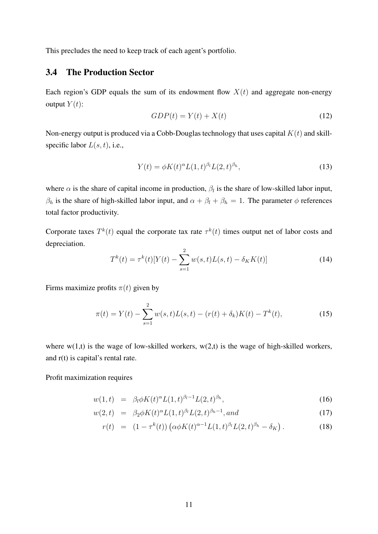This precludes the need to keep track of each agent's portfolio.

### 3.4 The Production Sector

Each region's GDP equals the sum of its endowment flow  $X(t)$  and aggregate non-energy output  $Y(t)$ :

$$
GDP(t) = Y(t) + X(t)
$$
\n<sup>(12)</sup>

Non-energy output is produced via a Cobb-Douglas technology that uses capital  $K(t)$  and skillspecific labor  $L(s, t)$ , i.e.,

$$
Y(t) = \phi K(t)^{\alpha} L(1, t)^{\beta_l} L(2, t)^{\beta_h},
$$
\n(13)

where  $\alpha$  is the share of capital income in production,  $\beta_l$  is the share of low-skilled labor input,  $\beta_h$  is the share of high-skilled labor input, and  $\alpha + \beta_l + \beta_h = 1$ . The parameter  $\phi$  references total factor productivity.

Corporate taxes  $T^k(t)$  equal the corporate tax rate  $\tau^k(t)$  times output net of labor costs and depreciation.

$$
T^{k}(t) = \tau^{k}(t)[Y(t) - \sum_{s=1}^{2} w(s, t)L(s, t) - \delta_{K} K(t)]
$$
\n(14)

Firms maximize profits  $\pi(t)$  given by

$$
\pi(t) = Y(t) - \sum_{s=1}^{2} w(s, t)L(s, t) - (r(t) + \delta_k)K(t) - T^k(t),
$$
\n(15)

where  $w(1,t)$  is the wage of low-skilled workers,  $w(2,t)$  is the wage of high-skilled workers, and r(t) is capital's rental rate.

#### Profit maximization requires

$$
w(1,t) = \beta_l \phi K(t)^\alpha L(1,t)^{\beta_l - 1} L(2,t)^{\beta_h}, \qquad (16)
$$

$$
w(2,t) = \beta_2 \phi K(t)^{\alpha} L(1,t)^{\beta_l} L(2,t)^{\beta_h - 1}, and \qquad (17)
$$

$$
r(t) = (1 - \tau^{k}(t)) \left( \alpha \phi K(t)^{\alpha - 1} L(1, t)^{\beta_l} L(2, t)^{\beta_h} - \delta_K \right).
$$
 (18)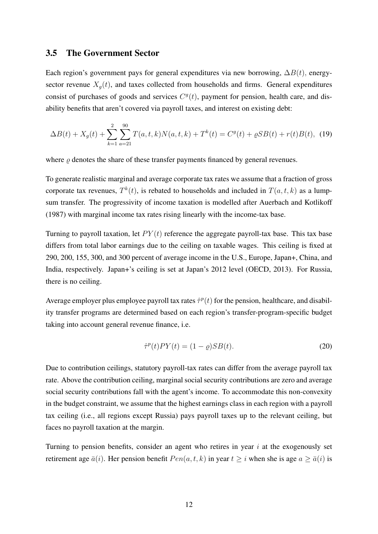#### 3.5 The Government Sector

Each region's government pays for general expenditures via new borrowing,  $\Delta B(t)$ , energysector revenue  $X_q(t)$ , and taxes collected from households and firms. General expenditures consist of purchases of goods and services  $C<sup>g</sup>(t)$ , payment for pension, health care, and disability benefits that aren't covered via payroll taxes, and interest on existing debt:

$$
\Delta B(t) + X_g(t) + \sum_{k=1}^{2} \sum_{a=21}^{90} T(a, t, k) N(a, t, k) + T^k(t) = C^g(t) + \varrho SB(t) + r(t)B(t), \tag{19}
$$

where  $\rho$  denotes the share of these transfer payments financed by general revenues.

To generate realistic marginal and average corporate tax rates we assume that a fraction of gross corporate tax revenues,  $T^k(t)$ , is rebated to households and included in  $T(a, t, k)$  as a lumpsum transfer. The progressivity of income taxation is modelled after Auerbach and Kotlikoff (1987) with marginal income tax rates rising linearly with the income-tax base.

Turning to payroll taxation, let  $PY(t)$  reference the aggregate payroll-tax base. This tax base differs from total labor earnings due to the ceiling on taxable wages. This ceiling is fixed at 290, 200, 155, 300, and 300 percent of average income in the U.S., Europe, Japan+, China, and India, respectively. Japan+'s ceiling is set at Japan's 2012 level (OECD, 2013). For Russia, there is no ceiling.

Average employer plus employee payroll tax rates  $\hat{\tau}^p(t)$  for the pension, healthcare, and disability transfer programs are determined based on each region's transfer-program-specific budget taking into account general revenue finance, i.e.

$$
\hat{\tau}^p(t)PY(t) = (1 - \varrho)SB(t). \tag{20}
$$

Due to contribution ceilings, statutory payroll-tax rates can differ from the average payroll tax rate. Above the contribution ceiling, marginal social security contributions are zero and average social security contributions fall with the agent's income. To accommodate this non-convexity in the budget constraint, we assume that the highest earnings class in each region with a payroll tax ceiling (i.e., all regions except Russia) pays payroll taxes up to the relevant ceiling, but faces no payroll taxation at the margin.

Turning to pension benefits, consider an agent who retires in year  $i$  at the exogenously set retirement age  $\bar{a}(i)$ . Her pension benefit  $Pen(a, t, k)$  in year  $t \geq i$  when she is age  $a \geq \bar{a}(i)$  is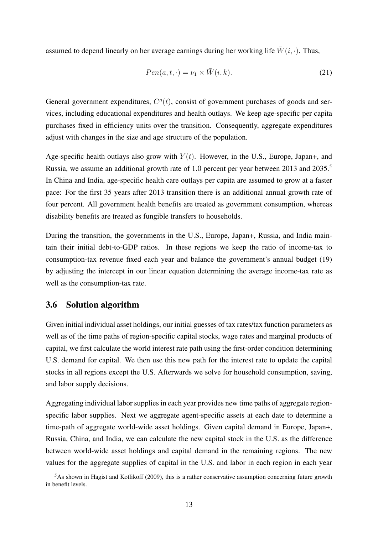assumed to depend linearly on her average earnings during her working life  $\bar{W}(i, \cdot)$ . Thus,

$$
Pen(a, t, \cdot) = \nu_1 \times \bar{W}(i, k). \tag{21}
$$

General government expenditures,  $C<sup>g</sup>(t)$ , consist of government purchases of goods and services, including educational expenditures and health outlays. We keep age-specific per capita purchases fixed in efficiency units over the transition. Consequently, aggregate expenditures adjust with changes in the size and age structure of the population.

Age-specific health outlays also grow with  $Y(t)$ . However, in the U.S., Europe, Japan+, and Russia, we assume an additional growth rate of 1.0 percent per year between 2013 and 2035.<sup>5</sup> In China and India, age-specific health care outlays per capita are assumed to grow at a faster pace: For the first 35 years after 2013 transition there is an additional annual growth rate of four percent. All government health benefits are treated as government consumption, whereas disability benefits are treated as fungible transfers to households.

During the transition, the governments in the U.S., Europe, Japan+, Russia, and India maintain their initial debt-to-GDP ratios. In these regions we keep the ratio of income-tax to consumption-tax revenue fixed each year and balance the government's annual budget (19) by adjusting the intercept in our linear equation determining the average income-tax rate as well as the consumption-tax rate.

### 3.6 Solution algorithm

Given initial individual asset holdings, our initial guesses of tax rates/tax function parameters as well as of the time paths of region-specific capital stocks, wage rates and marginal products of capital, we first calculate the world interest rate path using the first-order condition determining U.S. demand for capital. We then use this new path for the interest rate to update the capital stocks in all regions except the U.S. Afterwards we solve for household consumption, saving, and labor supply decisions.

Aggregating individual labor supplies in each year provides new time paths of aggregate regionspecific labor supplies. Next we aggregate agent-specific assets at each date to determine a time-path of aggregate world-wide asset holdings. Given capital demand in Europe, Japan+, Russia, China, and India, we can calculate the new capital stock in the U.S. as the difference between world-wide asset holdings and capital demand in the remaining regions. The new values for the aggregate supplies of capital in the U.S. and labor in each region in each year

 $5$ As shown in Hagist and Kotlikoff (2009), this is a rather conservative assumption concerning future growth in benefit levels.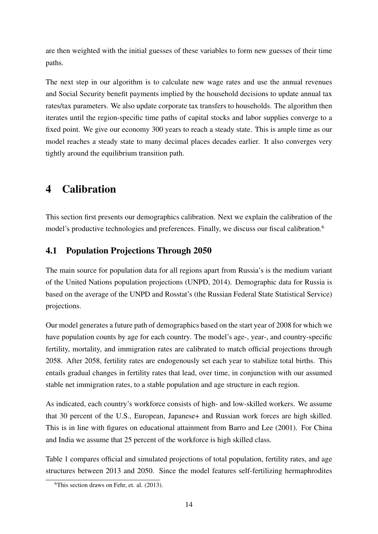are then weighted with the initial guesses of these variables to form new guesses of their time paths.

The next step in our algorithm is to calculate new wage rates and use the annual revenues and Social Security benefit payments implied by the household decisions to update annual tax rates/tax parameters. We also update corporate tax transfers to households. The algorithm then iterates until the region-specific time paths of capital stocks and labor supplies converge to a fixed point. We give our economy 300 years to reach a steady state. This is ample time as our model reaches a steady state to many decimal places decades earlier. It also converges very tightly around the equilibrium transition path.

# 4 Calibration

This section first presents our demographics calibration. Next we explain the calibration of the model's productive technologies and preferences. Finally, we discuss our fiscal calibration.<sup>6</sup>

## 4.1 Population Projections Through 2050

The main source for population data for all regions apart from Russia's is the medium variant of the United Nations population projections (UNPD, 2014). Demographic data for Russia is based on the average of the UNPD and Rosstat's (the Russian Federal State Statistical Service) projections.

Our model generates a future path of demographics based on the start year of 2008 for which we have population counts by age for each country. The model's age-, year-, and country-specific fertility, mortality, and immigration rates are calibrated to match official projections through 2058. After 2058, fertility rates are endogenously set each year to stabilize total births. This entails gradual changes in fertility rates that lead, over time, in conjunction with our assumed stable net immigration rates, to a stable population and age structure in each region.

As indicated, each country's workforce consists of high- and low-skilled workers. We assume that 30 percent of the U.S., European, Japanese+ and Russian work forces are high skilled. This is in line with figures on educational attainment from Barro and Lee (2001). For China and India we assume that 25 percent of the workforce is high skilled class.

Table 1 compares official and simulated projections of total population, fertility rates, and age structures between 2013 and 2050. Since the model features self-fertilizing hermaphrodites

 $6$ This section draws on Fehr, et. al. (2013).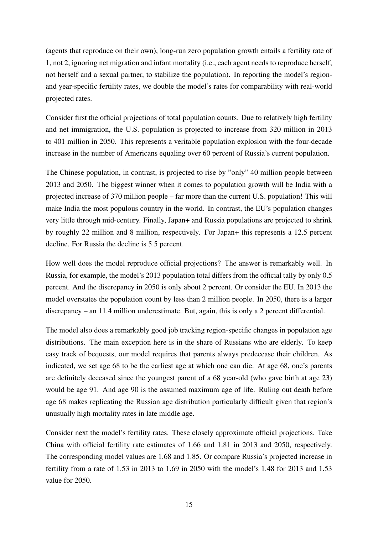(agents that reproduce on their own), long-run zero population growth entails a fertility rate of 1, not 2, ignoring net migration and infant mortality (i.e., each agent needs to reproduce herself, not herself and a sexual partner, to stabilize the population). In reporting the model's regionand year-specific fertility rates, we double the model's rates for comparability with real-world projected rates.

Consider first the official projections of total population counts. Due to relatively high fertility and net immigration, the U.S. population is projected to increase from 320 million in 2013 to 401 million in 2050. This represents a veritable population explosion with the four-decade increase in the number of Americans equaling over 60 percent of Russia's current population.

The Chinese population, in contrast, is projected to rise by "only" 40 million people between 2013 and 2050. The biggest winner when it comes to population growth will be India with a projected increase of 370 million people – far more than the current U.S. population! This will make India the most populous country in the world. In contrast, the EU's population changes very little through mid-century. Finally, Japan+ and Russia populations are projected to shrink by roughly 22 million and 8 million, respectively. For Japan+ this represents a 12.5 percent decline. For Russia the decline is 5.5 percent.

How well does the model reproduce official projections? The answer is remarkably well. In Russia, for example, the model's 2013 population total differs from the official tally by only 0.5 percent. And the discrepancy in 2050 is only about 2 percent. Or consider the EU. In 2013 the model overstates the population count by less than 2 million people. In 2050, there is a larger discrepancy – an 11.4 million underestimate. But, again, this is only a 2 percent differential.

The model also does a remarkably good job tracking region-specific changes in population age distributions. The main exception here is in the share of Russians who are elderly. To keep easy track of bequests, our model requires that parents always predecease their children. As indicated, we set age 68 to be the earliest age at which one can die. At age 68, one's parents are definitely deceased since the youngest parent of a 68 year-old (who gave birth at age 23) would be age 91. And age 90 is the assumed maximum age of life. Ruling out death before age 68 makes replicating the Russian age distribution particularly difficult given that region's unusually high mortality rates in late middle age.

Consider next the model's fertility rates. These closely approximate official projections. Take China with official fertility rate estimates of 1.66 and 1.81 in 2013 and 2050, respectively. The corresponding model values are 1.68 and 1.85. Or compare Russia's projected increase in fertility from a rate of 1.53 in 2013 to 1.69 in 2050 with the model's 1.48 for 2013 and 1.53 value for 2050.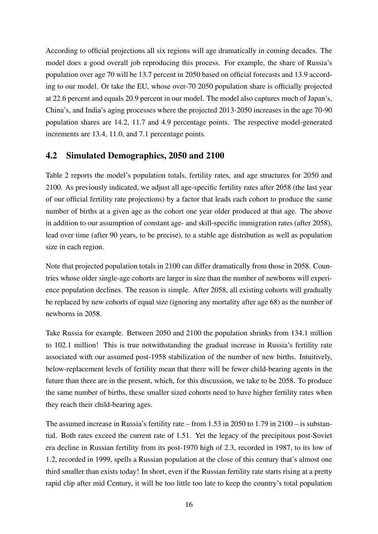According to official projections all six regions will age dramatically in coming decades. The model does a good overall job reproducing this process. For example, the share of Russia's population over age 70 will be 13.7 percent in 2050 based on official forecasts and 13.9 according to our model. Or take the EU, whose over-70 2050 population share is officially projected at 22.6 percent and equals 20.9 percent in our model. The model also captures much of Japan's, China's, and India's aging processes where the projected 2013-2050 increases in the age 70-90 population shares are 14.2, 11.7 and 4.9 percentage points. The respective model-generated increments are 13.4, 11.0, and 7.1 percentage points.

### 4.2 Simulated Demographics, 2050 and 2100

Table 2 reports the model's population totals, fertility rates, and age structures for 2050 and 2100. As previously indicated, we adjust all age-specific fertility rates after 2058 (the last year of our official fertility rate projections) by a factor that leads each cohort to produce the same number of births at a given age as the cohort one year older produced at that age. The above in addition to our assumption of constant age- and skill-specific immigration rates (after 2058), lead over time (after 90 years, to be precise), to a stable age distribution as well as population size in each region.

Note that projected population totals in 2100 can differ dramatically from those in 2058. Countries whose older single-age cohorts are larger in size than the number of newborns will experience population declines. The reason is simple. After 2058, all existing cohorts will gradually be replaced by new cohorts of equal size (ignoring any mortality after age 68) as the number of newborns in 2058.

Take Russia for example. Between 2050 and 2100 the population shrinks from 134.1 million to 102.1 million! This is true notwithstanding the gradual increase in Russia's fertility rate associated with our assumed post-1958 stabilization of the number of new births. Intuitively, below-replacement levels of fertility mean that there will be fewer child-bearing agents in the future than there are in the present, which, for this discussion, we take to be 2058. To produce the same number of births, these smaller sized cohorts need to have higher fertility rates when they reach their child-bearing ages.

The assumed increase in Russia's fertility rate – from 1.53 in 2050 to 1.79 in 2100 – is substantial. Both rates exceed the current rate of 1.51. Yet the legacy of the precipitous post-Soviet era decline in Russian fertility from its post-1970 high of 2.3, recorded in 1987, to its low of 1.2, recorded in 1999, spells a Russian population at the close of this century that's almost one third smaller than exists today! In short, even if the Russian fertility rate starts rising at a pretty rapid clip after mid Century, it will be too little too late to keep the country's total population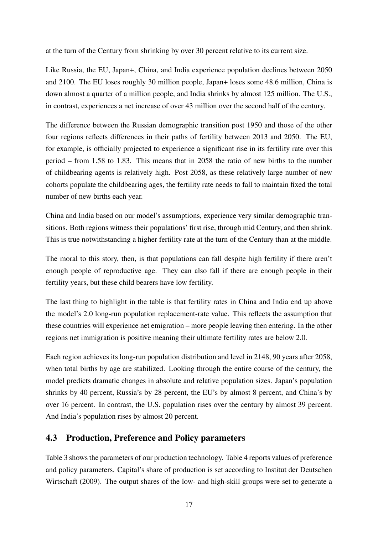at the turn of the Century from shrinking by over 30 percent relative to its current size.

Like Russia, the EU, Japan+, China, and India experience population declines between 2050 and 2100. The EU loses roughly 30 million people, Japan+ loses some 48.6 million, China is down almost a quarter of a million people, and India shrinks by almost 125 million. The U.S., in contrast, experiences a net increase of over 43 million over the second half of the century.

The difference between the Russian demographic transition post 1950 and those of the other four regions reflects differences in their paths of fertility between 2013 and 2050. The EU, for example, is officially projected to experience a significant rise in its fertility rate over this period – from 1.58 to 1.83. This means that in 2058 the ratio of new births to the number of childbearing agents is relatively high. Post 2058, as these relatively large number of new cohorts populate the childbearing ages, the fertility rate needs to fall to maintain fixed the total number of new births each year.

China and India based on our model's assumptions, experience very similar demographic transitions. Both regions witness their populations' first rise, through mid Century, and then shrink. This is true notwithstanding a higher fertility rate at the turn of the Century than at the middle.

The moral to this story, then, is that populations can fall despite high fertility if there aren't enough people of reproductive age. They can also fall if there are enough people in their fertility years, but these child bearers have low fertility.

The last thing to highlight in the table is that fertility rates in China and India end up above the model's 2.0 long-run population replacement-rate value. This reflects the assumption that these countries will experience net emigration – more people leaving then entering. In the other regions net immigration is positive meaning their ultimate fertility rates are below 2.0.

Each region achieves its long-run population distribution and level in 2148, 90 years after 2058, when total births by age are stabilized. Looking through the entire course of the century, the model predicts dramatic changes in absolute and relative population sizes. Japan's population shrinks by 40 percent, Russia's by 28 percent, the EU's by almost 8 percent, and China's by over 16 percent. In contrast, the U.S. population rises over the century by almost 39 percent. And India's population rises by almost 20 percent.

## 4.3 Production, Preference and Policy parameters

Table 3 shows the parameters of our production technology. Table 4 reports values of preference and policy parameters. Capital's share of production is set according to Institut der Deutschen Wirtschaft (2009). The output shares of the low- and high-skill groups were set to generate a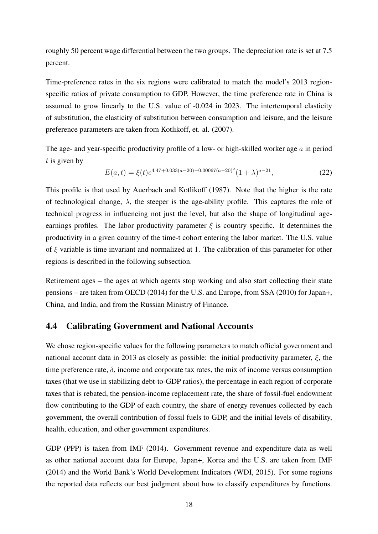roughly 50 percent wage differential between the two groups. The depreciation rate is set at 7.5 percent.

Time-preference rates in the six regions were calibrated to match the model's 2013 regionspecific ratios of private consumption to GDP. However, the time preference rate in China is assumed to grow linearly to the U.S. value of -0.024 in 2023. The intertemporal elasticity of substitution, the elasticity of substitution between consumption and leisure, and the leisure preference parameters are taken from Kotlikoff, et. al. (2007).

The age- and year-specific productivity profile of a low- or high-skilled worker age  $\alpha$  in period  $t$  is given by

$$
E(a,t) = \xi(t)e^{4.47 + 0.033(a-20) - 0.00067(a-20)^2}(1+\lambda)^{a-21},
$$
\n(22)

This profile is that used by Auerbach and Kotlikoff (1987). Note that the higher is the rate of technological change,  $\lambda$ , the steeper is the age-ability profile. This captures the role of technical progress in influencing not just the level, but also the shape of longitudinal ageearnings profiles. The labor productivity parameter  $\xi$  is country specific. It determines the productivity in a given country of the time-t cohort entering the labor market. The U.S. value of  $\xi$  variable is time invariant and normalized at 1. The calibration of this parameter for other regions is described in the following subsection.

Retirement ages – the ages at which agents stop working and also start collecting their state pensions – are taken from OECD (2014) for the U.S. and Europe, from SSA (2010) for Japan+, China, and India, and from the Russian Ministry of Finance.

#### 4.4 Calibrating Government and National Accounts

We chose region-specific values for the following parameters to match official government and national account data in 2013 as closely as possible: the initial productivity parameter,  $\xi$ , the time preference rate,  $\delta$ , income and corporate tax rates, the mix of income versus consumption taxes (that we use in stabilizing debt-to-GDP ratios), the percentage in each region of corporate taxes that is rebated, the pension-income replacement rate, the share of fossil-fuel endowment flow contributing to the GDP of each country, the share of energy revenues collected by each government, the overall contribution of fossil fuels to GDP, and the initial levels of disability, health, education, and other government expenditures.

GDP (PPP) is taken from IMF (2014). Government revenue and expenditure data as well as other national account data for Europe, Japan+, Korea and the U.S. are taken from IMF (2014) and the World Bank's World Development Indicators (WDI, 2015). For some regions the reported data reflects our best judgment about how to classify expenditures by functions.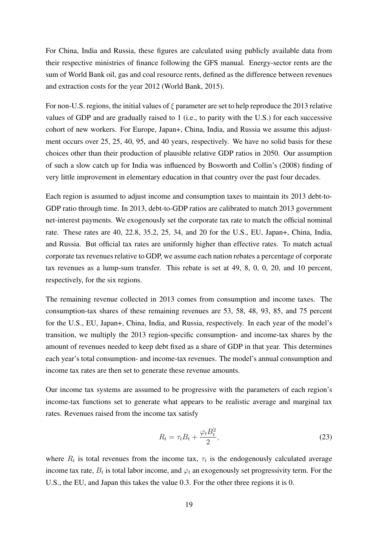For China, India and Russia, these figures are calculated using publicly available data from their respective ministries of finance following the GFS manual. Energy-sector rents are the sum of World Bank oil, gas and coal resource rents, defined as the difference between revenues and extraction costs for the year 2012 (World Bank, 2015).

For non-U.S. regions, the initial values of  $\xi$  parameter are set to help reproduce the 2013 relative values of GDP and are gradually raised to 1 (i.e., to parity with the U.S.) for each successive cohort of new workers. For Europe, Japan+, China, India, and Russia we assume this adjustment occurs over 25, 25, 40, 95, and 40 years, respectively. We have no solid basis for these choices other than their production of plausible relative GDP ratios in 2050. Our assumption of such a slow catch up for India was influenced by Bosworth and Collin's (2008) finding of very little improvement in elementary education in that country over the past four decades.

Each region is assumed to adjust income and consumption taxes to maintain its 2013 debt-to-GDP ratio through time. In 2013, debt-to-GDP ratios are calibrated to match 2013 government net-interest payments. We exogenously set the corporate tax rate to match the official nominal rate. These rates are 40, 22.8, 35.2, 25, 34, and 20 for the U.S., EU, Japan+, China, India, and Russia. But official tax rates are uniformly higher than effective rates. To match actual corporate tax revenues relative to GDP, we assume each nation rebates a percentage of corporate tax revenues as a lump-sum transfer. This rebate is set at 49, 8, 0, 0, 20, and 10 percent, respectively, for the six regions.

The remaining revenue collected in 2013 comes from consumption and income taxes. The consumption-tax shares of these remaining revenues are 53, 58, 48, 93, 85, and 75 percent for the U.S., EU, Japan+, China, India, and Russia, respectively. In each year of the model's transition, we multiply the 2013 region-specific consumption- and income-tax shares by the amount of revenues needed to keep debt fixed as a share of GDP in that year. This determines each year's total consumption- and income-tax revenues. The model's annual consumption and income tax rates are then set to generate these revenue amounts.

Our income tax systems are assumed to be progressive with the parameters of each region's income-tax functions set to generate what appears to be realistic average and marginal tax rates. Revenues raised from the income tax satisfy

$$
R_t = \tau_t B_t + \frac{\varphi_t B_t^2}{2},\tag{23}
$$

where  $R_t$  is total revenues from the income tax,  $\tau_t$  is the endogenously calculated average income tax rate,  $B_t$  is total labor income, and  $\varphi_t$  an exogenously set progressivity term. For the U.S., the EU, and Japan this takes the value 0.3. For the other three regions it is 0.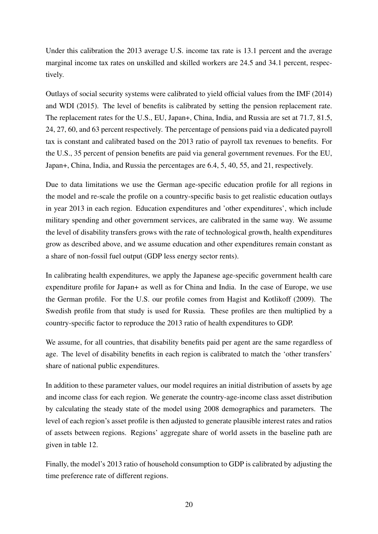Under this calibration the 2013 average U.S. income tax rate is 13.1 percent and the average marginal income tax rates on unskilled and skilled workers are 24.5 and 34.1 percent, respectively.

Outlays of social security systems were calibrated to yield official values from the IMF (2014) and WDI (2015). The level of benefits is calibrated by setting the pension replacement rate. The replacement rates for the U.S., EU, Japan+, China, India, and Russia are set at 71.7, 81.5, 24, 27, 60, and 63 percent respectively. The percentage of pensions paid via a dedicated payroll tax is constant and calibrated based on the 2013 ratio of payroll tax revenues to benefits. For the U.S., 35 percent of pension benefits are paid via general government revenues. For the EU, Japan+, China, India, and Russia the percentages are 6.4, 5, 40, 55, and 21, respectively.

Due to data limitations we use the German age-specific education profile for all regions in the model and re-scale the profile on a country-specific basis to get realistic education outlays in year 2013 in each region. Education expenditures and 'other expenditures', which include military spending and other government services, are calibrated in the same way. We assume the level of disability transfers grows with the rate of technological growth, health expenditures grow as described above, and we assume education and other expenditures remain constant as a share of non-fossil fuel output (GDP less energy sector rents).

In calibrating health expenditures, we apply the Japanese age-specific government health care expenditure profile for Japan+ as well as for China and India. In the case of Europe, we use the German profile. For the U.S. our profile comes from Hagist and Kotlikoff (2009). The Swedish profile from that study is used for Russia. These profiles are then multiplied by a country-specific factor to reproduce the 2013 ratio of health expenditures to GDP.

We assume, for all countries, that disability benefits paid per agent are the same regardless of age. The level of disability benefits in each region is calibrated to match the 'other transfers' share of national public expenditures.

In addition to these parameter values, our model requires an initial distribution of assets by age and income class for each region. We generate the country-age-income class asset distribution by calculating the steady state of the model using 2008 demographics and parameters. The level of each region's asset profile is then adjusted to generate plausible interest rates and ratios of assets between regions. Regions' aggregate share of world assets in the baseline path are given in table 12.

Finally, the model's 2013 ratio of household consumption to GDP is calibrated by adjusting the time preference rate of different regions.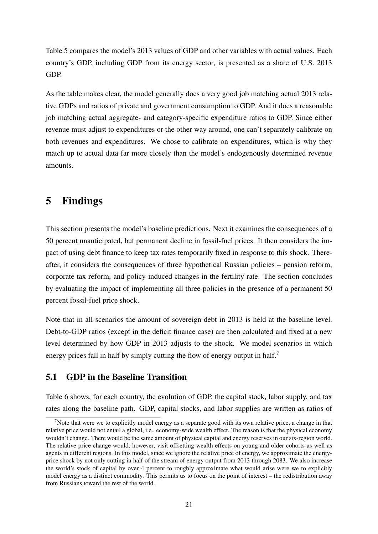Table 5 compares the model's 2013 values of GDP and other variables with actual values. Each country's GDP, including GDP from its energy sector, is presented as a share of U.S. 2013 GDP.

As the table makes clear, the model generally does a very good job matching actual 2013 relative GDPs and ratios of private and government consumption to GDP. And it does a reasonable job matching actual aggregate- and category-specific expenditure ratios to GDP. Since either revenue must adjust to expenditures or the other way around, one can't separately calibrate on both revenues and expenditures. We chose to calibrate on expenditures, which is why they match up to actual data far more closely than the model's endogenously determined revenue amounts.

# 5 Findings

This section presents the model's baseline predictions. Next it examines the consequences of a 50 percent unanticipated, but permanent decline in fossil-fuel prices. It then considers the impact of using debt finance to keep tax rates temporarily fixed in response to this shock. Thereafter, it considers the consequences of three hypothetical Russian policies – pension reform, corporate tax reform, and policy-induced changes in the fertility rate. The section concludes by evaluating the impact of implementing all three policies in the presence of a permanent 50 percent fossil-fuel price shock.

Note that in all scenarios the amount of sovereign debt in 2013 is held at the baseline level. Debt-to-GDP ratios (except in the deficit finance case) are then calculated and fixed at a new level determined by how GDP in 2013 adjusts to the shock. We model scenarios in which energy prices fall in half by simply cutting the flow of energy output in half.<sup>7</sup>

## 5.1 GDP in the Baseline Transition

Table 6 shows, for each country, the evolution of GDP, the capital stock, labor supply, and tax rates along the baseline path. GDP, capital stocks, and labor supplies are written as ratios of

<sup>&</sup>lt;sup>7</sup>Note that were we to explicitly model energy as a separate good with its own relative price, a change in that relative price would not entail a global, i.e., economy-wide wealth effect. The reason is that the physical economy wouldn't change. There would be the same amount of physical capital and energy reserves in our six-region world. The relative price change would, however, visit offsetting wealth effects on young and older cohorts as well as agents in different regions. In this model, since we ignore the relative price of energy, we approximate the energyprice shock by not only cutting in half of the stream of energy output from 2013 through 2083. We also increase the world's stock of capital by over 4 percent to roughly approximate what would arise were we to explicitly model energy as a distinct commodity. This permits us to focus on the point of interest – the redistribution away from Russians toward the rest of the world.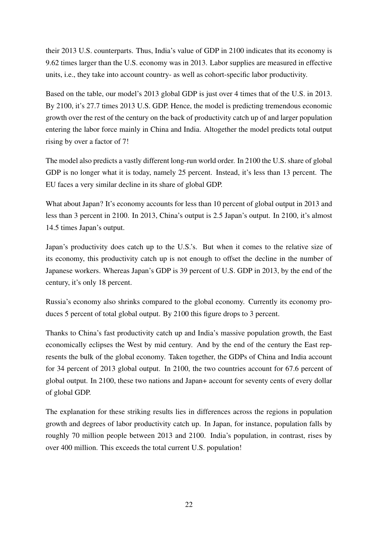their 2013 U.S. counterparts. Thus, India's value of GDP in 2100 indicates that its economy is 9.62 times larger than the U.S. economy was in 2013. Labor supplies are measured in effective units, i.e., they take into account country- as well as cohort-specific labor productivity.

Based on the table, our model's 2013 global GDP is just over 4 times that of the U.S. in 2013. By 2100, it's 27.7 times 2013 U.S. GDP. Hence, the model is predicting tremendous economic growth over the rest of the century on the back of productivity catch up of and larger population entering the labor force mainly in China and India. Altogether the model predicts total output rising by over a factor of 7!

The model also predicts a vastly different long-run world order. In 2100 the U.S. share of global GDP is no longer what it is today, namely 25 percent. Instead, it's less than 13 percent. The EU faces a very similar decline in its share of global GDP.

What about Japan? It's economy accounts for less than 10 percent of global output in 2013 and less than 3 percent in 2100. In 2013, China's output is 2.5 Japan's output. In 2100, it's almost 14.5 times Japan's output.

Japan's productivity does catch up to the U.S.'s. But when it comes to the relative size of its economy, this productivity catch up is not enough to offset the decline in the number of Japanese workers. Whereas Japan's GDP is 39 percent of U.S. GDP in 2013, by the end of the century, it's only 18 percent.

Russia's economy also shrinks compared to the global economy. Currently its economy produces 5 percent of total global output. By 2100 this figure drops to 3 percent.

Thanks to China's fast productivity catch up and India's massive population growth, the East economically eclipses the West by mid century. And by the end of the century the East represents the bulk of the global economy. Taken together, the GDPs of China and India account for 34 percent of 2013 global output. In 2100, the two countries account for 67.6 percent of global output. In 2100, these two nations and Japan+ account for seventy cents of every dollar of global GDP.

The explanation for these striking results lies in differences across the regions in population growth and degrees of labor productivity catch up. In Japan, for instance, population falls by roughly 70 million people between 2013 and 2100. India's population, in contrast, rises by over 400 million. This exceeds the total current U.S. population!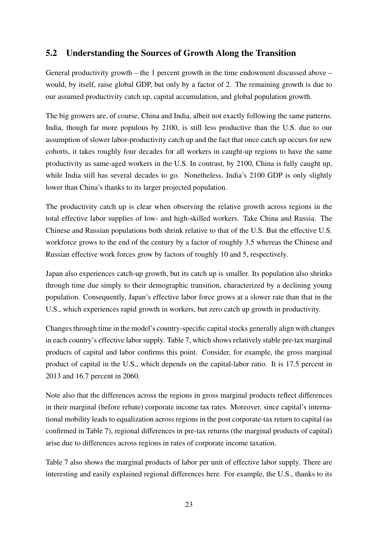## 5.2 Understanding the Sources of Growth Along the Transition

General productivity growth – the 1 percent growth in the time endowment discussed above – would, by itself, raise global GDP, but only by a factor of 2. The remaining growth is due to our assumed productivity catch up, capital accumulation, and global population growth.

The big growers are, of course, China and India, albeit not exactly following the same patterns. India, though far more populous by 2100, is still less productive than the U.S. due to our assumption of slower labor-productivity catch up and the fact that once catch up occurs for new cohorts, it takes roughly four decades for all workers in caught-up regions to have the same productivity as same-aged workers in the U.S. In contrast, by 2100, China is fully caught up, while India still has several decades to go. Nonetheless, India's 2100 GDP is only slightly lower than China's thanks to its larger projected population.

The productivity catch up is clear when observing the relative growth across regions in the total effective labor supplies of low- and high-skilled workers. Take China and Russia. The Chinese and Russian populations both shrink relative to that of the U.S. But the effective U.S. workforce grows to the end of the century by a factor of roughly 3.5 whereas the Chinese and Russian effective work forces grow by factors of roughly 10 and 5, respectively.

Japan also experiences catch-up growth, but its catch up is smaller. Its population also shrinks through time due simply to their demographic transition, characterized by a declining young population. Consequently, Japan's effective labor force grows at a slower rate than that in the U.S., which experiences rapid growth in workers, but zero catch up growth in productivity.

Changes through time in the model's country-specific capital stocks generally align with changes in each country's effective labor supply. Table 7, which shows relatively stable pre-tax marginal products of capital and labor confirms this point. Consider, for example, the gross marginal product of capital in the U.S., which depends on the capital-labor ratio. It is 17.5 percent in 2013 and 16.7 percent in 2060.

Note also that the differences across the regions in gross marginal products reflect differences in their marginal (before rebate) corporate income tax rates. Moreover, since capital's international mobility leads to equalization across regions in the post corporate-tax return to capital (as confirmed in Table 7), regional differences in pre-tax returns (the marginal products of capital) arise due to differences across regions in rates of corporate income taxation.

Table 7 also shows the marginal products of labor per unit of effective labor supply. There are interesting and easily explained regional differences here. For example, the U.S., thanks to its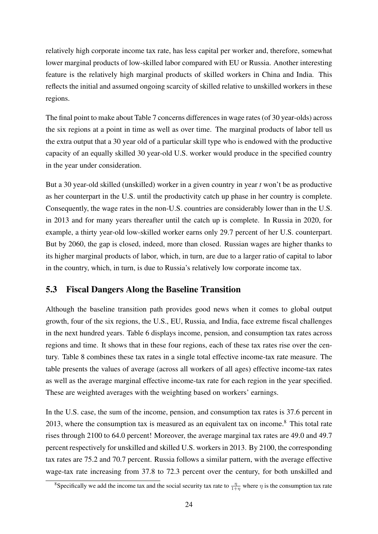relatively high corporate income tax rate, has less capital per worker and, therefore, somewhat lower marginal products of low-skilled labor compared with EU or Russia. Another interesting feature is the relatively high marginal products of skilled workers in China and India. This reflects the initial and assumed ongoing scarcity of skilled relative to unskilled workers in these regions.

The final point to make about Table 7 concerns differences in wage rates (of 30 year-olds) across the six regions at a point in time as well as over time. The marginal products of labor tell us the extra output that a 30 year old of a particular skill type who is endowed with the productive capacity of an equally skilled 30 year-old U.S. worker would produce in the specified country in the year under consideration.

But a 30 year-old skilled (unskilled) worker in a given country in year *t* won't be as productive as her counterpart in the U.S. until the productivity catch up phase in her country is complete. Consequently, the wage rates in the non-U.S. countries are considerably lower than in the U.S. in 2013 and for many years thereafter until the catch up is complete. In Russia in 2020, for example, a thirty year-old low-skilled worker earns only 29.7 percent of her U.S. counterpart. But by 2060, the gap is closed, indeed, more than closed. Russian wages are higher thanks to its higher marginal products of labor, which, in turn, are due to a larger ratio of capital to labor in the country, which, in turn, is due to Russia's relatively low corporate income tax.

### 5.3 Fiscal Dangers Along the Baseline Transition

Although the baseline transition path provides good news when it comes to global output growth, four of the six regions, the U.S., EU, Russia, and India, face extreme fiscal challenges in the next hundred years. Table 6 displays income, pension, and consumption tax rates across regions and time. It shows that in these four regions, each of these tax rates rise over the century. Table 8 combines these tax rates in a single total effective income-tax rate measure. The table presents the values of average (across all workers of all ages) effective income-tax rates as well as the average marginal effective income-tax rate for each region in the year specified. These are weighted averages with the weighting based on workers' earnings.

In the U.S. case, the sum of the income, pension, and consumption tax rates is 37.6 percent in 2013, where the consumption tax is measured as an equivalent tax on income.<sup>8</sup> This total rate rises through 2100 to 64.0 percent! Moreover, the average marginal tax rates are 49.0 and 49.7 percent respectively for unskilled and skilled U.S. workers in 2013. By 2100, the corresponding tax rates are 75.2 and 70.7 percent. Russia follows a similar pattern, with the average effective wage-tax rate increasing from 37.8 to 72.3 percent over the century, for both unskilled and

<sup>&</sup>lt;sup>8</sup>Specifically we add the income tax and the social security tax rate to  $\frac{\eta}{1+\eta}$  where  $\eta$  is the consumption tax rate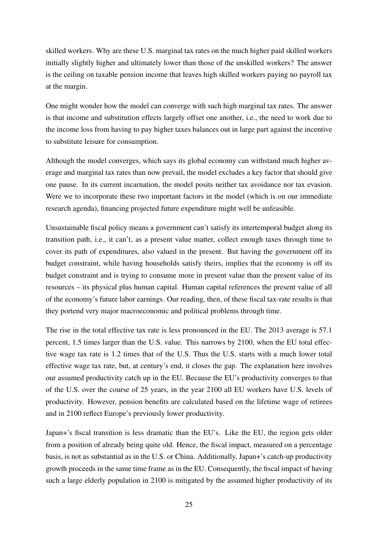skilled workers. Why are these U.S. marginal tax rates on the much higher paid skilled workers initially slightly higher and ultimately lower than those of the unskilled workers? The answer is the ceiling on taxable pension income that leaves high skilled workers paying no payroll tax at the margin.

One might wonder how the model can converge with such high marginal tax rates. The answer is that income and substitution effects largely offset one another, i.e., the need to work due to the income loss from having to pay higher taxes balances out in large part against the incentive to substitute leisure for consumption.

Although the model converges, which says its global economy can withstand much higher average and marginal tax rates than now prevail, the model excludes a key factor that should give one pause. In its current incarnation, the model posits neither tax avoidance nor tax evasion. Were we to incorporate these two important factors in the model (which is on our immediate research agenda), financing projected future expenditure might well be unfeasible.

Unsustainable fiscal policy means a government can't satisfy its intertemporal budget along its transition path, i.e., it can't, as a present value matter, collect enough taxes through time to cover its path of expenditures, also valued in the present. But having the government off its budget constraint, while having households satisfy theirs, implies that the economy is off its budget constraint and is trying to consume more in present value than the present value of its resources – its physical plus human capital. Human capital references the present value of all of the economy's future labor earnings. Our reading, then, of these fiscal tax-rate results is that they portend very major macroeconomic and political problems through time.

The rise in the total effective tax rate is less pronounced in the EU. The 2013 average is 57.1 percent, 1.5 times larger than the U.S. value. This narrows by 2100, when the EU total effective wage tax rate is 1.2 times that of the U.S. Thus the U.S. starts with a much lower total effective wage tax rate, but, at century's end, it closes the gap. The explanation here involves our assumed productivity catch up in the EU. Because the EU's productivity converges to that of the U.S. over the course of 25 years, in the year 2100 all EU workers have U.S. levels of productivity. However, pension benefits are calculated based on the lifetime wage of retirees and in 2100 reflect Europe's previously lower productivity.

Japan+'s fiscal transition is less dramatic than the EU's. Like the EU, the region gets older from a position of already being quite old. Hence, the fiscal impact, measured on a percentage basis, is not as substantial as in the U.S. or China. Additionally, Japan+'s catch-up productivity growth proceeds in the same time frame as in the EU. Consequently, the fiscal impact of having such a large elderly population in 2100 is mitigated by the assumed higher productivity of its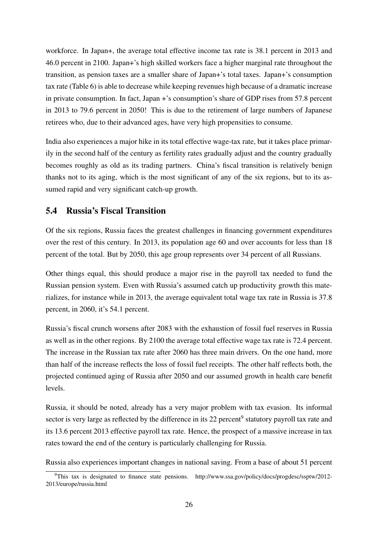workforce. In Japan+, the average total effective income tax rate is 38.1 percent in 2013 and 46.0 percent in 2100. Japan+'s high skilled workers face a higher marginal rate throughout the transition, as pension taxes are a smaller share of Japan+'s total taxes. Japan+'s consumption tax rate (Table 6) is able to decrease while keeping revenues high because of a dramatic increase in private consumption. In fact, Japan +'s consumption's share of GDP rises from 57.8 percent in 2013 to 79.6 percent in 2050! This is due to the retirement of large numbers of Japanese retirees who, due to their advanced ages, have very high propensities to consume.

India also experiences a major hike in its total effective wage-tax rate, but it takes place primarily in the second half of the century as fertility rates gradually adjust and the country gradually becomes roughly as old as its trading partners. China's fiscal transition is relatively benign thanks not to its aging, which is the most significant of any of the six regions, but to its assumed rapid and very significant catch-up growth.

### 5.4 Russia's Fiscal Transition

Of the six regions, Russia faces the greatest challenges in financing government expenditures over the rest of this century. In 2013, its population age 60 and over accounts for less than 18 percent of the total. But by 2050, this age group represents over 34 percent of all Russians.

Other things equal, this should produce a major rise in the payroll tax needed to fund the Russian pension system. Even with Russia's assumed catch up productivity growth this materializes, for instance while in 2013, the average equivalent total wage tax rate in Russia is 37.8 percent, in 2060, it's 54.1 percent.

Russia's fiscal crunch worsens after 2083 with the exhaustion of fossil fuel reserves in Russia as well as in the other regions. By 2100 the average total effective wage tax rate is 72.4 percent. The increase in the Russian tax rate after 2060 has three main drivers. On the one hand, more than half of the increase reflects the loss of fossil fuel receipts. The other half reflects both, the projected continued aging of Russia after 2050 and our assumed growth in health care benefit levels.

Russia, it should be noted, already has a very major problem with tax evasion. Its informal sector is very large as reflected by the difference in its 22 percent<sup>9</sup> statutory payroll tax rate and its 13.6 percent 2013 effective payroll tax rate. Hence, the prospect of a massive increase in tax rates toward the end of the century is particularly challenging for Russia.

Russia also experiences important changes in national saving. From a base of about 51 percent

<sup>9</sup>This tax is designated to finance state pensions. http://www.ssa.gov/policy/docs/progdesc/ssptw/2012- 2013/europe/russia.html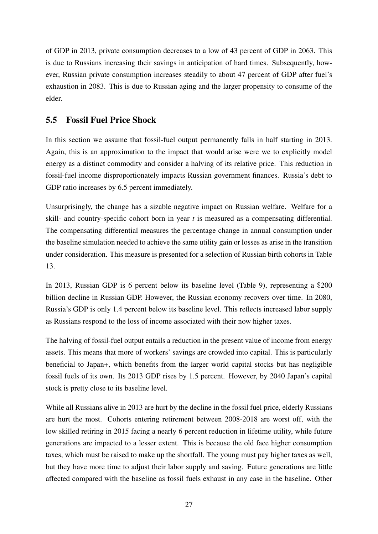of GDP in 2013, private consumption decreases to a low of 43 percent of GDP in 2063. This is due to Russians increasing their savings in anticipation of hard times. Subsequently, however, Russian private consumption increases steadily to about 47 percent of GDP after fuel's exhaustion in 2083. This is due to Russian aging and the larger propensity to consume of the elder.

## 5.5 Fossil Fuel Price Shock

In this section we assume that fossil-fuel output permanently falls in half starting in 2013. Again, this is an approximation to the impact that would arise were we to explicitly model energy as a distinct commodity and consider a halving of its relative price. This reduction in fossil-fuel income disproportionately impacts Russian government finances. Russia's debt to GDP ratio increases by 6.5 percent immediately.

Unsurprisingly, the change has a sizable negative impact on Russian welfare. Welfare for a skill- and country-specific cohort born in year *t* is measured as a compensating differential. The compensating differential measures the percentage change in annual consumption under the baseline simulation needed to achieve the same utility gain or losses as arise in the transition under consideration. This measure is presented for a selection of Russian birth cohorts in Table 13.

In 2013, Russian GDP is 6 percent below its baseline level (Table 9), representing a \$200 billion decline in Russian GDP. However, the Russian economy recovers over time. In 2080, Russia's GDP is only 1.4 percent below its baseline level. This reflects increased labor supply as Russians respond to the loss of income associated with their now higher taxes.

The halving of fossil-fuel output entails a reduction in the present value of income from energy assets. This means that more of workers' savings are crowded into capital. This is particularly beneficial to Japan+, which benefits from the larger world capital stocks but has negligible fossil fuels of its own. Its 2013 GDP rises by 1.5 percent. However, by 2040 Japan's capital stock is pretty close to its baseline level.

While all Russians alive in 2013 are hurt by the decline in the fossil fuel price, elderly Russians are hurt the most. Cohorts entering retirement between 2008-2018 are worst off, with the low skilled retiring in 2015 facing a nearly 6 percent reduction in lifetime utility, while future generations are impacted to a lesser extent. This is because the old face higher consumption taxes, which must be raised to make up the shortfall. The young must pay higher taxes as well, but they have more time to adjust their labor supply and saving. Future generations are little affected compared with the baseline as fossil fuels exhaust in any case in the baseline. Other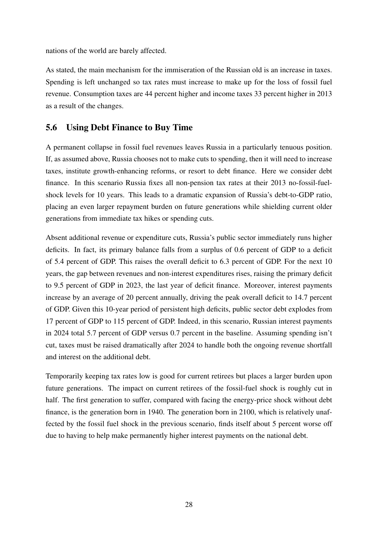nations of the world are barely affected.

As stated, the main mechanism for the immiseration of the Russian old is an increase in taxes. Spending is left unchanged so tax rates must increase to make up for the loss of fossil fuel revenue. Consumption taxes are 44 percent higher and income taxes 33 percent higher in 2013 as a result of the changes.

### 5.6 Using Debt Finance to Buy Time

A permanent collapse in fossil fuel revenues leaves Russia in a particularly tenuous position. If, as assumed above, Russia chooses not to make cuts to spending, then it will need to increase taxes, institute growth-enhancing reforms, or resort to debt finance. Here we consider debt finance. In this scenario Russia fixes all non-pension tax rates at their 2013 no-fossil-fuelshock levels for 10 years. This leads to a dramatic expansion of Russia's debt-to-GDP ratio, placing an even larger repayment burden on future generations while shielding current older generations from immediate tax hikes or spending cuts.

Absent additional revenue or expenditure cuts, Russia's public sector immediately runs higher deficits. In fact, its primary balance falls from a surplus of 0.6 percent of GDP to a deficit of 5.4 percent of GDP. This raises the overall deficit to 6.3 percent of GDP. For the next 10 years, the gap between revenues and non-interest expenditures rises, raising the primary deficit to 9.5 percent of GDP in 2023, the last year of deficit finance. Moreover, interest payments increase by an average of 20 percent annually, driving the peak overall deficit to 14.7 percent of GDP. Given this 10-year period of persistent high deficits, public sector debt explodes from 17 percent of GDP to 115 percent of GDP. Indeed, in this scenario, Russian interest payments in 2024 total 5.7 percent of GDP versus 0.7 percent in the baseline. Assuming spending isn't cut, taxes must be raised dramatically after 2024 to handle both the ongoing revenue shortfall and interest on the additional debt.

Temporarily keeping tax rates low is good for current retirees but places a larger burden upon future generations. The impact on current retirees of the fossil-fuel shock is roughly cut in half. The first generation to suffer, compared with facing the energy-price shock without debt finance, is the generation born in 1940. The generation born in 2100, which is relatively unaffected by the fossil fuel shock in the previous scenario, finds itself about 5 percent worse off due to having to help make permanently higher interest payments on the national debt.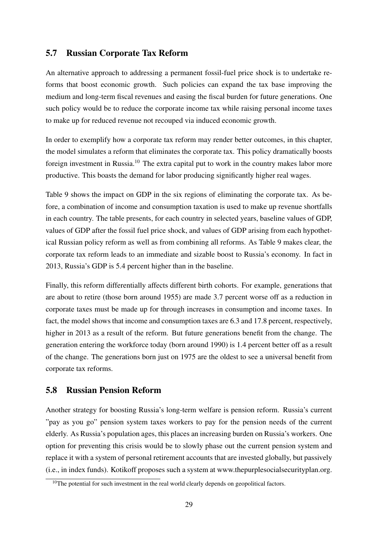## 5.7 Russian Corporate Tax Reform

An alternative approach to addressing a permanent fossil-fuel price shock is to undertake reforms that boost economic growth. Such policies can expand the tax base improving the medium and long-term fiscal revenues and easing the fiscal burden for future generations. One such policy would be to reduce the corporate income tax while raising personal income taxes to make up for reduced revenue not recouped via induced economic growth.

In order to exemplify how a corporate tax reform may render better outcomes, in this chapter, the model simulates a reform that eliminates the corporate tax. This policy dramatically boosts foreign investment in Russia.<sup>10</sup> The extra capital put to work in the country makes labor more productive. This boasts the demand for labor producing significantly higher real wages.

Table 9 shows the impact on GDP in the six regions of eliminating the corporate tax. As before, a combination of income and consumption taxation is used to make up revenue shortfalls in each country. The table presents, for each country in selected years, baseline values of GDP, values of GDP after the fossil fuel price shock, and values of GDP arising from each hypothetical Russian policy reform as well as from combining all reforms. As Table 9 makes clear, the corporate tax reform leads to an immediate and sizable boost to Russia's economy. In fact in 2013, Russia's GDP is 5.4 percent higher than in the baseline.

Finally, this reform differentially affects different birth cohorts. For example, generations that are about to retire (those born around 1955) are made 3.7 percent worse off as a reduction in corporate taxes must be made up for through increases in consumption and income taxes. In fact, the model shows that income and consumption taxes are 6.3 and 17.8 percent, respectively, higher in 2013 as a result of the reform. But future generations benefit from the change. The generation entering the workforce today (born around 1990) is 1.4 percent better off as a result of the change. The generations born just on 1975 are the oldest to see a universal benefit from corporate tax reforms.

## 5.8 Russian Pension Reform

Another strategy for boosting Russia's long-term welfare is pension reform. Russia's current "pay as you go" pension system taxes workers to pay for the pension needs of the current elderly. As Russia's population ages, this places an increasing burden on Russia's workers. One option for preventing this crisis would be to slowly phase out the current pension system and replace it with a system of personal retirement accounts that are invested globally, but passively (i.e., in index funds). Kotikoff proposes such a system at www.thepurplesocialsecurityplan.org.

 $10$ The potential for such investment in the real world clearly depends on geopolitical factors.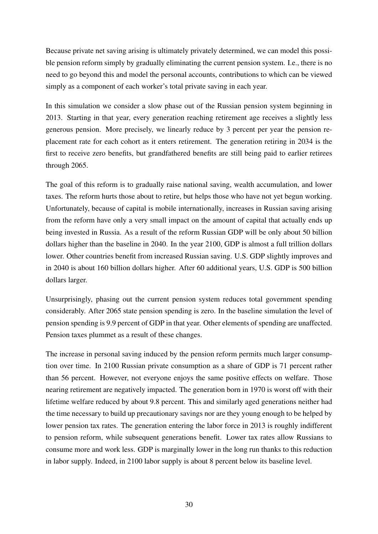Because private net saving arising is ultimately privately determined, we can model this possible pension reform simply by gradually eliminating the current pension system. I.e., there is no need to go beyond this and model the personal accounts, contributions to which can be viewed simply as a component of each worker's total private saving in each year.

In this simulation we consider a slow phase out of the Russian pension system beginning in 2013. Starting in that year, every generation reaching retirement age receives a slightly less generous pension. More precisely, we linearly reduce by 3 percent per year the pension replacement rate for each cohort as it enters retirement. The generation retiring in 2034 is the first to receive zero benefits, but grandfathered benefits are still being paid to earlier retirees through 2065.

The goal of this reform is to gradually raise national saving, wealth accumulation, and lower taxes. The reform hurts those about to retire, but helps those who have not yet begun working. Unfortunately, because of capital is mobile internationally, increases in Russian saving arising from the reform have only a very small impact on the amount of capital that actually ends up being invested in Russia. As a result of the reform Russian GDP will be only about 50 billion dollars higher than the baseline in 2040. In the year 2100, GDP is almost a full trillion dollars lower. Other countries benefit from increased Russian saving. U.S. GDP slightly improves and in 2040 is about 160 billion dollars higher. After 60 additional years, U.S. GDP is 500 billion dollars larger.

Unsurprisingly, phasing out the current pension system reduces total government spending considerably. After 2065 state pension spending is zero. In the baseline simulation the level of pension spending is 9.9 percent of GDP in that year. Other elements of spending are unaffected. Pension taxes plummet as a result of these changes.

The increase in personal saving induced by the pension reform permits much larger consumption over time. In 2100 Russian private consumption as a share of GDP is 71 percent rather than 56 percent. However, not everyone enjoys the same positive effects on welfare. Those nearing retirement are negatively impacted. The generation born in 1970 is worst off with their lifetime welfare reduced by about 9.8 percent. This and similarly aged generations neither had the time necessary to build up precautionary savings nor are they young enough to be helped by lower pension tax rates. The generation entering the labor force in 2013 is roughly indifferent to pension reform, while subsequent generations benefit. Lower tax rates allow Russians to consume more and work less. GDP is marginally lower in the long run thanks to this reduction in labor supply. Indeed, in 2100 labor supply is about 8 percent below its baseline level.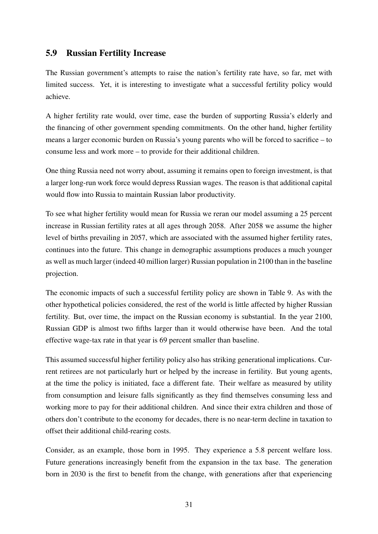## 5.9 Russian Fertility Increase

The Russian government's attempts to raise the nation's fertility rate have, so far, met with limited success. Yet, it is interesting to investigate what a successful fertility policy would achieve.

A higher fertility rate would, over time, ease the burden of supporting Russia's elderly and the financing of other government spending commitments. On the other hand, higher fertility means a larger economic burden on Russia's young parents who will be forced to sacrifice – to consume less and work more – to provide for their additional children.

One thing Russia need not worry about, assuming it remains open to foreign investment, is that a larger long-run work force would depress Russian wages. The reason is that additional capital would flow into Russia to maintain Russian labor productivity.

To see what higher fertility would mean for Russia we reran our model assuming a 25 percent increase in Russian fertility rates at all ages through 2058. After 2058 we assume the higher level of births prevailing in 2057, which are associated with the assumed higher fertility rates, continues into the future. This change in demographic assumptions produces a much younger as well as much larger (indeed 40 million larger) Russian population in 2100 than in the baseline projection.

The economic impacts of such a successful fertility policy are shown in Table 9. As with the other hypothetical policies considered, the rest of the world is little affected by higher Russian fertility. But, over time, the impact on the Russian economy is substantial. In the year 2100, Russian GDP is almost two fifths larger than it would otherwise have been. And the total effective wage-tax rate in that year is 69 percent smaller than baseline.

This assumed successful higher fertility policy also has striking generational implications. Current retirees are not particularly hurt or helped by the increase in fertility. But young agents, at the time the policy is initiated, face a different fate. Their welfare as measured by utility from consumption and leisure falls significantly as they find themselves consuming less and working more to pay for their additional children. And since their extra children and those of others don't contribute to the economy for decades, there is no near-term decline in taxation to offset their additional child-rearing costs.

Consider, as an example, those born in 1995. They experience a 5.8 percent welfare loss. Future generations increasingly benefit from the expansion in the tax base. The generation born in 2030 is the first to benefit from the change, with generations after that experiencing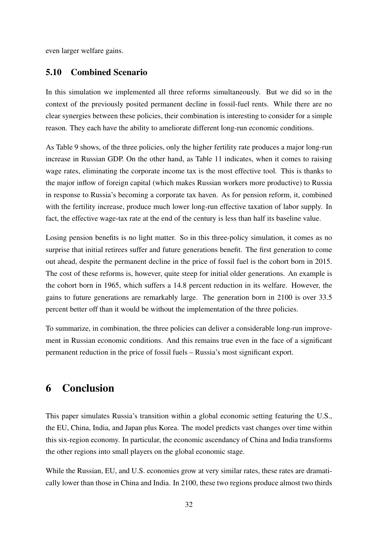even larger welfare gains.

### 5.10 Combined Scenario

In this simulation we implemented all three reforms simultaneously. But we did so in the context of the previously posited permanent decline in fossil-fuel rents. While there are no clear synergies between these policies, their combination is interesting to consider for a simple reason. They each have the ability to ameliorate different long-run economic conditions.

As Table 9 shows, of the three policies, only the higher fertility rate produces a major long-run increase in Russian GDP. On the other hand, as Table 11 indicates, when it comes to raising wage rates, eliminating the corporate income tax is the most effective tool. This is thanks to the major inflow of foreign capital (which makes Russian workers more productive) to Russia in response to Russia's becoming a corporate tax haven. As for pension reform, it, combined with the fertility increase, produce much lower long-run effective taxation of labor supply. In fact, the effective wage-tax rate at the end of the century is less than half its baseline value.

Losing pension benefits is no light matter. So in this three-policy simulation, it comes as no surprise that initial retirees suffer and future generations benefit. The first generation to come out ahead, despite the permanent decline in the price of fossil fuel is the cohort born in 2015. The cost of these reforms is, however, quite steep for initial older generations. An example is the cohort born in 1965, which suffers a 14.8 percent reduction in its welfare. However, the gains to future generations are remarkably large. The generation born in 2100 is over 33.5 percent better off than it would be without the implementation of the three policies.

To summarize, in combination, the three policies can deliver a considerable long-run improvement in Russian economic conditions. And this remains true even in the face of a significant permanent reduction in the price of fossil fuels – Russia's most significant export.

# 6 Conclusion

This paper simulates Russia's transition within a global economic setting featuring the U.S., the EU, China, India, and Japan plus Korea. The model predicts vast changes over time within this six-region economy. In particular, the economic ascendancy of China and India transforms the other regions into small players on the global economic stage.

While the Russian, EU, and U.S. economies grow at very similar rates, these rates are dramatically lower than those in China and India. In 2100, these two regions produce almost two thirds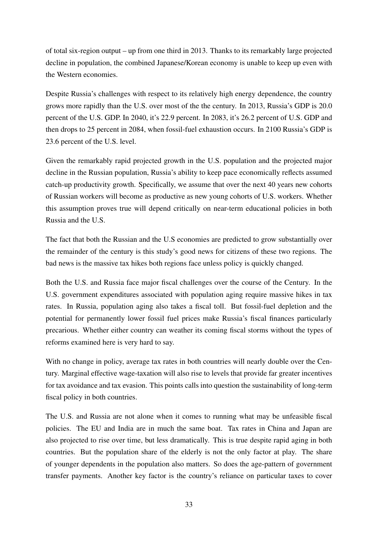of total six-region output – up from one third in 2013. Thanks to its remarkably large projected decline in population, the combined Japanese/Korean economy is unable to keep up even with the Western economies.

Despite Russia's challenges with respect to its relatively high energy dependence, the country grows more rapidly than the U.S. over most of the the century. In 2013, Russia's GDP is 20.0 percent of the U.S. GDP. In 2040, it's 22.9 percent. In 2083, it's 26.2 percent of U.S. GDP and then drops to 25 percent in 2084, when fossil-fuel exhaustion occurs. In 2100 Russia's GDP is 23.6 percent of the U.S. level.

Given the remarkably rapid projected growth in the U.S. population and the projected major decline in the Russian population, Russia's ability to keep pace economically reflects assumed catch-up productivity growth. Specifically, we assume that over the next 40 years new cohorts of Russian workers will become as productive as new young cohorts of U.S. workers. Whether this assumption proves true will depend critically on near-term educational policies in both Russia and the U.S.

The fact that both the Russian and the U.S economies are predicted to grow substantially over the remainder of the century is this study's good news for citizens of these two regions. The bad news is the massive tax hikes both regions face unless policy is quickly changed.

Both the U.S. and Russia face major fiscal challenges over the course of the Century. In the U.S. government expenditures associated with population aging require massive hikes in tax rates. In Russia, population aging also takes a fiscal toll. But fossil-fuel depletion and the potential for permanently lower fossil fuel prices make Russia's fiscal finances particularly precarious. Whether either country can weather its coming fiscal storms without the types of reforms examined here is very hard to say.

With no change in policy, average tax rates in both countries will nearly double over the Century. Marginal effective wage-taxation will also rise to levels that provide far greater incentives for tax avoidance and tax evasion. This points calls into question the sustainability of long-term fiscal policy in both countries.

The U.S. and Russia are not alone when it comes to running what may be unfeasible fiscal policies. The EU and India are in much the same boat. Tax rates in China and Japan are also projected to rise over time, but less dramatically. This is true despite rapid aging in both countries. But the population share of the elderly is not the only factor at play. The share of younger dependents in the population also matters. So does the age-pattern of government transfer payments. Another key factor is the country's reliance on particular taxes to cover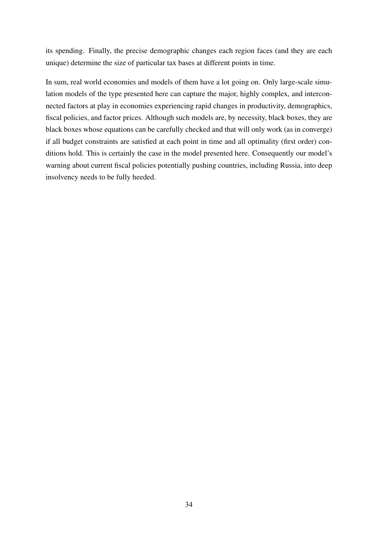its spending. Finally, the precise demographic changes each region faces (and they are each unique) determine the size of particular tax bases at different points in time.

In sum, real world economies and models of them have a lot going on. Only large-scale simulation models of the type presented here can capture the major, highly complex, and interconnected factors at play in economies experiencing rapid changes in productivity, demographics, fiscal policies, and factor prices. Although such models are, by necessity, black boxes, they are black boxes whose equations can be carefully checked and that will only work (as in converge) if all budget constraints are satisfied at each point in time and all optimality (first order) conditions hold. This is certainly the case in the model presented here. Consequently our model's warning about current fiscal policies potentially pushing countries, including Russia, into deep insolvency needs to be fully heeded.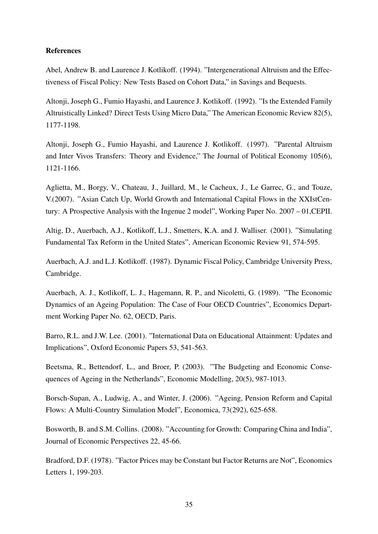#### References

Abel, Andrew B. and Laurence J. Kotlikoff. (1994). "Intergenerational Altruism and the Effectiveness of Fiscal Policy: New Tests Based on Cohort Data," in Savings and Bequests.

Altonji, Joseph G., Fumio Hayashi, and Laurence J. Kotlikoff. (1992). "Is the Extended Family Altruistically Linked? Direct Tests Using Micro Data," The American Economic Review 82(5), 1177-1198.

Altonji, Joseph G., Fumio Hayashi, and Laurence J. Kotlikoff. (1997). "Parental Altruism and Inter Vivos Transfers: Theory and Evidence," The Journal of Political Economy 105(6), 1121-1166.

Aglietta, M., Borgy, V., Chateau, J., Juillard, M., le Cacheux, J., Le Garrec, G., and Touze, V.(2007). "Asian Catch Up, World Growth and International Capital Flows in the XXIstCentury: A Prospective Analysis with the Ingenue 2 model", Working Paper No. 2007 – 01,CEPII.

Altig, D., Auerbach, A.J., Kotlikoff, L.J., Smetters, K.A. and J. Walliser. (2001). "Simulating Fundamental Tax Reform in the United States", American Economic Review 91, 574-595.

Auerbach, A.J. and L.J. Kotlikoff. (1987). Dynamic Fiscal Policy, Cambridge University Press, Cambridge.

Auerbach, A. J., Kotlikoff, L. J., Hagemann, R. P., and Nicoletti, G. (1989). "The Economic Dynamics of an Ageing Population: The Case of Four OECD Countries", Economics Department Working Paper No. 62, OECD, Paris.

Barro, R.L. and J.W. Lee. (2001). "International Data on Educational Attainment: Updates and Implications", Oxford Economic Papers 53, 541-563.

Beetsma, R., Bettendorf, L., and Broer, P. (2003). "The Budgeting and Economic Consequences of Ageing in the Netherlands", Economic Modelling, 20(5), 987-1013.

Borsch-Supan, A., Ludwig, A., and Winter, J. (2006). "Ageing, Pension Reform and Capital Flows: A Multi-Country Simulation Model", Economica, 73(292), 625-658.

Bosworth, B. and S.M. Collins. (2008). "Accounting for Growth: Comparing China and India", Journal of Economic Perspectives 22, 45-66.

Bradford, D.F. (1978). "Factor Prices may be Constant but Factor Returns are Not", Economics Letters 1, 199-203.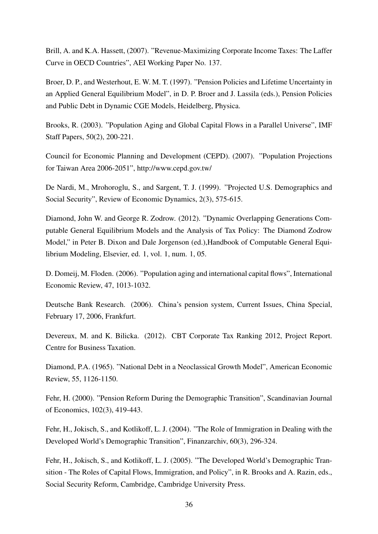Brill, A. and K.A. Hassett, (2007). "Revenue-Maximizing Corporate Income Taxes: The Laffer Curve in OECD Countries", AEI Working Paper No. 137.

Broer, D. P., and Westerhout, E. W. M. T. (1997). "Pension Policies and Lifetime Uncertainty in an Applied General Equilibrium Model", in D. P. Broer and J. Lassila (eds.), Pension Policies and Public Debt in Dynamic CGE Models, Heidelberg, Physica.

Brooks, R. (2003). "Population Aging and Global Capital Flows in a Parallel Universe", IMF Staff Papers, 50(2), 200-221.

Council for Economic Planning and Development (CEPD). (2007). "Population Projections for Taiwan Area 2006-2051", http://www.cepd.gov.tw/

De Nardi, M., Mrohoroglu, S., and Sargent, T. J. (1999). "Projected U.S. Demographics and Social Security", Review of Economic Dynamics, 2(3), 575-615.

Diamond, John W. and George R. Zodrow. (2012). "Dynamic Overlapping Generations Computable General Equilibrium Models and the Analysis of Tax Policy: The Diamond Zodrow Model," in Peter B. Dixon and Dale Jorgenson (ed.),Handbook of Computable General Equilibrium Modeling, Elsevier, ed. 1, vol. 1, num. 1, 05.

D. Domeij, M. Floden. (2006). "Population aging and international capital flows", International Economic Review, 47, 1013-1032.

Deutsche Bank Research. (2006). China's pension system, Current Issues, China Special, February 17, 2006, Frankfurt.

Devereux, M. and K. Bilicka. (2012). CBT Corporate Tax Ranking 2012, Project Report. Centre for Business Taxation.

Diamond, P.A. (1965). "National Debt in a Neoclassical Growth Model", American Economic Review, 55, 1126-1150.

Fehr, H. (2000). "Pension Reform During the Demographic Transition", Scandinavian Journal of Economics, 102(3), 419-443.

Fehr, H., Jokisch, S., and Kotlikoff, L. J. (2004). "The Role of Immigration in Dealing with the Developed World's Demographic Transition", Finanzarchiv, 60(3), 296-324.

Fehr, H., Jokisch, S., and Kotlikoff, L. J. (2005). "The Developed World's Demographic Transition - The Roles of Capital Flows, Immigration, and Policy", in R. Brooks and A. Razin, eds., Social Security Reform, Cambridge, Cambridge University Press.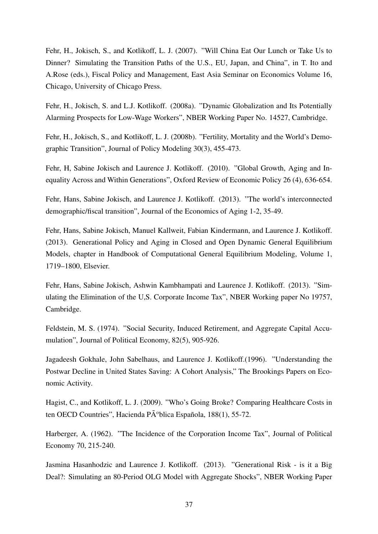Fehr, H., Jokisch, S., and Kotlikoff, L. J. (2007). "Will China Eat Our Lunch or Take Us to Dinner? Simulating the Transition Paths of the U.S., EU, Japan, and China", in T. Ito and A.Rose (eds.), Fiscal Policy and Management, East Asia Seminar on Economics Volume 16, Chicago, University of Chicago Press.

Fehr, H., Jokisch, S. and L.J. Kotlikoff. (2008a). "Dynamic Globalization and Its Potentially Alarming Prospects for Low-Wage Workers", NBER Working Paper No. 14527, Cambridge.

Fehr, H., Jokisch, S., and Kotlikoff, L. J. (2008b). "Fertility, Mortality and the World's Demographic Transition", Journal of Policy Modeling 30(3), 455-473.

Fehr, H, Sabine Jokisch and Laurence J. Kotlikoff. (2010). "Global Growth, Aging and Inequality Across and Within Generations", Oxford Review of Economic Policy 26 (4), 636-654.

Fehr, Hans, Sabine Jokisch, and Laurence J. Kotlikoff. (2013). "The world's interconnected demographic/fiscal transition", Journal of the Economics of Aging 1-2, 35-49.

Fehr, Hans, Sabine Jokisch, Manuel Kallweit, Fabian Kindermann, and Laurence J. Kotlikoff. (2013). Generational Policy and Aging in Closed and Open Dynamic General Equilibrium Models, chapter in Handbook of Computational General Equilibrium Modeling, Volume 1, 1719–1800, Elsevier.

Fehr, Hans, Sabine Jokisch, Ashwin Kambhampati and Laurence J. Kotlikoff. (2013). "Simulating the Elimination of the U,S. Corporate Income Tax", NBER Working paper No 19757, Cambridge.

Feldstein, M. S. (1974). "Social Security, Induced Retirement, and Aggregate Capital Accumulation", Journal of Political Economy, 82(5), 905-926.

Jagadeesh Gokhale, John Sabelhaus, and Laurence J. Kotlikoff.(1996). "Understanding the Postwar Decline in United States Saving: A Cohort Analysis," The Brookings Papers on Economic Activity.

Hagist, C., and Kotlikoff, L. J. (2009). "Who's Going Broke? Comparing Healthcare Costs in ten OECD Countries", Hacienda P $\tilde{A}^{\circ}$ blica Española, 188(1), 55-72.

Harberger, A. (1962). "The Incidence of the Corporation Income Tax", Journal of Political Economy 70, 215-240.

Jasmina Hasanhodzic and Laurence J. Kotlikoff. (2013). "Generational Risk - is it a Big Deal?: Simulating an 80-Period OLG Model with Aggregate Shocks", NBER Working Paper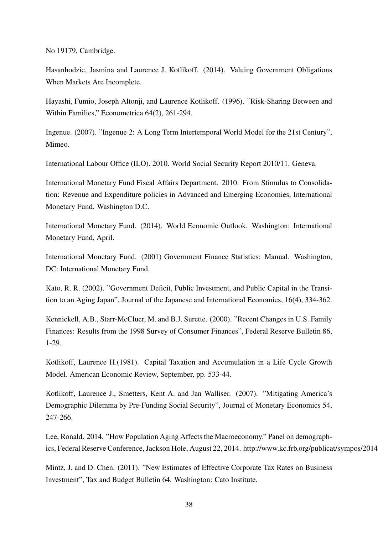No 19179, Cambridge.

Hasanhodzic, Jasmina and Laurence J. Kotlikoff. (2014). Valuing Government Obligations When Markets Are Incomplete.

Hayashi, Fumio, Joseph Altonji, and Laurence Kotlikoff. (1996). "Risk-Sharing Between and Within Families," Econometrica 64(2), 261-294.

Ingenue. (2007). "Ingenue 2: A Long Term Intertemporal World Model for the 21st Century", Mimeo.

International Labour Office (ILO). 2010. World Social Security Report 2010/11. Geneva.

International Monetary Fund Fiscal Affairs Department. 2010. From Stimulus to Consolidation: Revenue and Expenditure policies in Advanced and Emerging Economies, International Monetary Fund. Washington D.C.

International Monetary Fund. (2014). World Economic Outlook. Washington: International Monetary Fund, April.

International Monetary Fund. (2001) Government Finance Statistics: Manual. Washington, DC: International Monetary Fund.

Kato, R. R. (2002). "Government Deficit, Public Investment, and Public Capital in the Transition to an Aging Japan", Journal of the Japanese and International Economies, 16(4), 334-362.

Kennickell, A.B., Starr-McCluer, M. and B.J. Surette. (2000). "Recent Changes in U.S. Family Finances: Results from the 1998 Survey of Consumer Finances", Federal Reserve Bulletin 86, 1-29.

Kotlikoff, Laurence H.(1981). Capital Taxation and Accumulation in a Life Cycle Growth Model. American Economic Review, September, pp. 533-44.

Kotlikoff, Laurence J., Smetters, Kent A. and Jan Walliser. (2007). "Mitigating America's Demographic Dilemma by Pre-Funding Social Security", Journal of Monetary Economics 54, 247-266.

Lee, Ronald. 2014. "How Population Aging Affects the Macroeconomy." Panel on demographics, Federal Reserve Conference, Jackson Hole, August 22, 2014. http://www.kc.frb.org/publicat/sympos/2014

Mintz, J. and D. Chen. (2011). "New Estimates of Effective Corporate Tax Rates on Business Investment", Tax and Budget Bulletin 64. Washington: Cato Institute.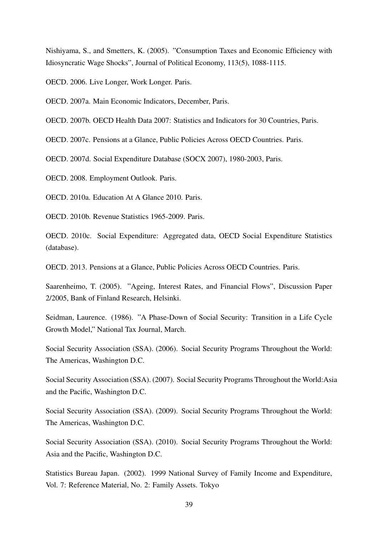Nishiyama, S., and Smetters, K. (2005). "Consumption Taxes and Economic Efficiency with Idiosyncratic Wage Shocks", Journal of Political Economy, 113(5), 1088-1115.

OECD. 2006. Live Longer, Work Longer. Paris.

OECD. 2007a. Main Economic Indicators, December, Paris.

OECD. 2007b. OECD Health Data 2007: Statistics and Indicators for 30 Countries, Paris.

OECD. 2007c. Pensions at a Glance, Public Policies Across OECD Countries. Paris.

OECD. 2007d. Social Expenditure Database (SOCX 2007), 1980-2003, Paris.

OECD. 2008. Employment Outlook. Paris.

OECD. 2010a. Education At A Glance 2010. Paris.

OECD. 2010b. Revenue Statistics 1965-2009. Paris.

OECD. 2010c. Social Expenditure: Aggregated data, OECD Social Expenditure Statistics (database).

OECD. 2013. Pensions at a Glance, Public Policies Across OECD Countries. Paris.

Saarenheimo, T. (2005). "Ageing, Interest Rates, and Financial Flows", Discussion Paper 2/2005, Bank of Finland Research, Helsinki.

Seidman, Laurence. (1986). "A Phase-Down of Social Security: Transition in a Life Cycle Growth Model," National Tax Journal, March.

Social Security Association (SSA). (2006). Social Security Programs Throughout the World: The Americas, Washington D.C.

Social Security Association (SSA). (2007). Social Security Programs Throughout the World:Asia and the Pacific, Washington D.C.

Social Security Association (SSA). (2009). Social Security Programs Throughout the World: The Americas, Washington D.C.

Social Security Association (SSA). (2010). Social Security Programs Throughout the World: Asia and the Pacific, Washington D.C.

Statistics Bureau Japan. (2002). 1999 National Survey of Family Income and Expenditure, Vol. 7: Reference Material, No. 2: Family Assets. Tokyo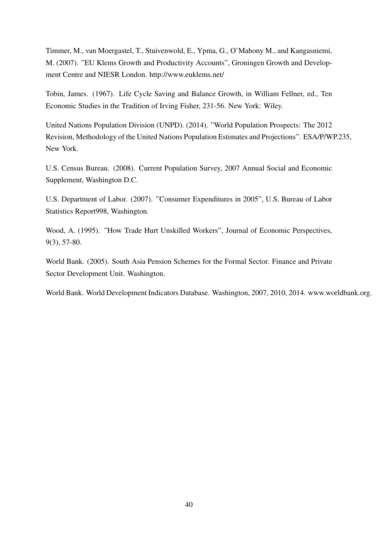Timmer, M., van Moergastel, T., Stuivenwold, E., Ypma, G., O'Mahony M., and Kangasniemi, M. (2007). "EU Klems Growth and Productivity Accounts", Groningen Growth and Development Centre and NIESR London. http://www.euklems.net/

Tobin, James. (1967). Life Cycle Saving and Balance Growth, in William Fellner, ed., Ten Economic Studies in the Tradition of Irving Fisher, 231-56. New York: Wiley.

United Nations Population Division (UNPD). (2014). "World Population Prospects: The 2012 Revision, Methodology of the United Nations Population Estimates and Projections". ESA/P/WP.235, New York.

U.S. Census Bureau. (2008). Current Population Survey, 2007 Annual Social and Economic Supplement, Washington D.C.

U.S. Department of Labor. (2007). "Consumer Expenditures in 2005", U.S. Bureau of Labor Statistics Report998, Washington.

Wood, A. (1995). "How Trade Hurt Unskilled Workers", Journal of Economic Perspectives, 9(3), 57-80.

World Bank. (2005). South Asia Pension Schemes for the Formal Sector. Finance and Private Sector Development Unit. Washington.

World Bank. World Development Indicators Database. Washington, 2007, 2010, 2014. www.worldbank.org.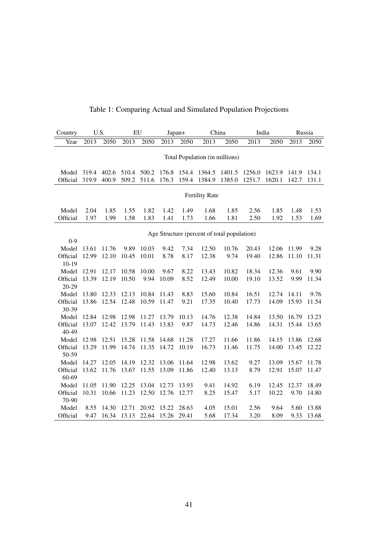| Country           | U.S.           |                | EU             |                | Japan+         |              | China                          |                                             | India             |                | Russia         |               |
|-------------------|----------------|----------------|----------------|----------------|----------------|--------------|--------------------------------|---------------------------------------------|-------------------|----------------|----------------|---------------|
| Year              | 2013           | 2050           | 2013           | 2050           | 2013           | 2050         | 2013                           | 2050                                        | $\overline{2013}$ | 2050           | 2013           | 2050          |
|                   |                |                |                |                |                |              |                                |                                             |                   |                |                |               |
|                   |                |                |                |                |                |              | Total Population (in millions) |                                             |                   |                |                |               |
|                   |                |                |                |                |                |              |                                |                                             |                   |                |                |               |
| Model             | 319.4          | 402.6          | 510.4          | 500.2          | 176.8          | 154.4        | 1364.5                         | 1401.5                                      | 1256.0            | 1623.9         | 141.9          | 134.1         |
| Official          | 319.9          | 400.9          | 509.2          | 511.6          | 176.3          | 159.4        | 1384.9                         | 1385.0                                      | 1251.7            | 1620.1         | 142.7          | 131.1         |
|                   |                |                |                |                |                |              |                                |                                             |                   |                |                |               |
|                   |                |                |                |                |                |              | <b>Fertility Rate</b>          |                                             |                   |                |                |               |
| Model             | 2.04           | 1.85           | 1.55           | 1.82           | 1.42           | 1.49         | 1.68                           | 1.85                                        | 2.56              | 1.85           | 1.48           | 1.53          |
| Official          | 1.97           | 1.99           | 1.58           | 1.83           | 1.41           | 1.73         | 1.66                           | 1.81                                        | 2.50              | 1.92           | 1.53           | 1.69          |
|                   |                |                |                |                |                |              |                                |                                             |                   |                |                |               |
|                   |                |                |                |                |                |              |                                | Age Structure (percent of total population) |                   |                |                |               |
| $0 - 9$           |                |                |                |                |                |              |                                |                                             |                   |                |                |               |
| Model             | 13.61          | 11.76          | 9.89           | 10.03          | 9.42           | 7.34         | 12.50                          | 10.76                                       | 20.43             | 12.06          | 11.99          | 9.28          |
| Official          | 12.99          | 12.10          | 10.45          | 10.01          | 8.78           | 8.17         | 12.38                          | 9.74                                        | 19.40             | 12.86          | 11.10          | 11.31         |
| $10-19$           |                |                |                |                |                |              |                                |                                             |                   |                |                |               |
| Model             | 12.91          | 12.17          | 10.58          | 10.00          | 9.67           | 8.22         | 13.43                          | 10.82                                       | 18.34             | 12.36          | 9.61           | 9.90          |
| Official          | 13.39          | 12.19          | 10.50          | 9.94           | 10.09          | 8.52         | 12.49                          | 10.00                                       | 19.10             | 13.52          | 9.99           | 11.34         |
| 20-29             |                |                |                |                |                |              |                                |                                             |                   |                |                |               |
| Model<br>Official | 13.80<br>13.86 | 12.33<br>12.54 | 12.13<br>12.48 | 10.84<br>10.59 | 11.43<br>11.47 | 8.83<br>9.21 | 15.60<br>17.35                 | 10.84<br>10.40                              | 16.51<br>17.73    | 12.74<br>14.09 | 14.11<br>15.93 | 9.76<br>11.54 |
| 30-39             |                |                |                |                |                |              |                                |                                             |                   |                |                |               |
| Model             | 12.84          | 12.98          | 12.98          | 11.27          | 13.79          | 10.13        | 14.76                          | 12.38                                       | 14.84             | 13.50          | 16.79          | 13.23         |
| Official          | 13.07          | 12.42          | 13.79          | 11.43          | 13.83          | 9.87         | 14.73                          | 12.46                                       | 14.86             | 14.31          | 15.44          | 13.65         |
| 40-49             |                |                |                |                |                |              |                                |                                             |                   |                |                |               |
| Model             | 12.98          | 12.51          | 15.28          | 11.58          | 14.68          | 11.28        | 17.27                          | 11.66                                       | 11.86             | 14.15          | 13.86          | 12.68         |
| Official          | 13.29          | 11.99          | 14.74          | 11.35          | 14.72          | 10.19        | 16.73                          | 11.46                                       | 11.75             | 14.00          | 13.45          | 12.22         |
| 50-59             |                |                |                |                |                |              |                                |                                             |                   |                |                |               |
| Model             | 14.27          | 12.05          | 14.19          | 12.32          | 13.06          | 11.64        | 12.98                          | 13.62                                       | 9.27              | 13.09          | 15.67          | 11.78         |
| Official          | 13.62          | 11.76          | 13.67          | 11.55          | 13.09          | 11.86        | 12.40                          | 13.13                                       | 8.79              | 12.91          | 15.07          | 11.47         |
| 60-69             |                |                |                |                |                |              |                                |                                             |                   |                |                |               |
| Model             | 11.05          | 11.90          | 12.25          | 13.04          | 12.73          | 13.93        | 9.41                           | 14.92                                       | 6.19              | 12.45          | 12.37          | 18.49         |
| Official          | 10.31          | 10.66          | 11.23          | 12.50          | 12.76          | 12.77        | 8.25                           | 15.47                                       | 5.17              | 10.22          | 9.70           | 14.80         |
| 70-90             |                |                |                |                |                |              |                                |                                             |                   |                |                |               |
| Model             | 8.55           | 14.30          | 12.71          | 20.92          | 15.22          | 28.63        | 4.05                           | 15.01                                       | 2.56              | 9.64           | 5.60           | 13.88         |
| Official          | 9.47           | 16.34          | 13.13          | 22.64          | 15.26          | 29.41        | 5.68                           | 17.34                                       | 3.20              | 8.09           | 9.33           | 13.68         |

# Table 1: Comparing Actual and Simulated Population Projections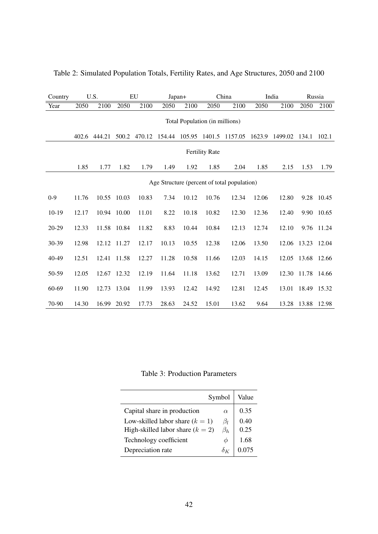| Country   |                                             | U.S.                           |             | EU     | Japan+ |               |                       | China   |        | India   | Russia |        |
|-----------|---------------------------------------------|--------------------------------|-------------|--------|--------|---------------|-----------------------|---------|--------|---------|--------|--------|
| Year      | 2050                                        | 2100                           | 2050        | 2100   | 2050   | 2100          | 2050                  | 2100    | 2050   | 2100    | 2050   | 2100   |
|           |                                             | Total Population (in millions) |             |        |        |               |                       |         |        |         |        |        |
|           | 402.6                                       | 444.21                         | 500.2       | 470.12 | 154.44 | 105.95 1401.5 |                       | 1157.05 | 1623.9 | 1499.02 | 134.1  | 102.1  |
|           |                                             |                                |             |        |        |               | <b>Fertility Rate</b> |         |        |         |        |        |
|           | 1.85                                        | 1.77                           | 1.82        | 1.79   | 1.49   | 1.92          | 1.85                  | 2.04    | 1.85   | 2.15    | 1.53   | 1.79   |
|           | Age Structure (percent of total population) |                                |             |        |        |               |                       |         |        |         |        |        |
| $0 - 9$   | 11.76                                       | 10.55                          | 10.03       | 10.83  | 7.34   | 10.12         | 10.76                 | 12.34   | 12.06  | 12.80   | 9.28   | 10.45  |
| $10-19$   | 12.17                                       |                                | 10.94 10.00 | 11.01  | 8.22   | 10.18         | 10.82                 | 12.30   | 12.36  | 12.40   | 9.90   | 10.65  |
| $20 - 29$ | 12.33                                       |                                | 11.58 10.84 | 11.82  | 8.83   | 10.44         | 10.84                 | 12.13   | 12.74  | 12.10   | 9.76   | 11.24  |
| 30-39     | 12.98                                       | 12.12                          | 11.27       | 12.17  | 10.13  | 10.55         | 12.38                 | 12.06   | 13.50  | 12.06   | 13.23  | 12.04  |
| 40-49     | 12.51                                       | 12.41                          | 11.58       | 12.27  | 11.28  | 10.58         | 11.66                 | 12.03   | 14.15  | 12.05   | 13.68  | -12.66 |
| 50-59     | 12.05                                       | 12.67                          | 12.32       | 12.19  | 11.64  | 11.18         | 13.62                 | 12.71   | 13.09  | 12.30   | 11.78  | 14.66  |
| 60-69     | 11.90                                       | 12.73                          | 13.04       | 11.99  | 13.93  | 12.42         | 14.92                 | 12.81   | 12.45  | 13.01   | 18.49  | 15.32  |
| 70-90     | 14.30                                       |                                | 16.99 20.92 | 17.73  | 28.63  | 24.52         | 15.01                 | 13.62   | 9.64   | 13.28   | 13.88  | 12.98  |

Table 2: Simulated Population Totals, Fertility Rates, and Age Structures, 2050 and 2100

Table 3: Production Parameters

|                                    | Symbol    | Value |
|------------------------------------|-----------|-------|
| Capital share in production        | $\alpha$  | 0.35  |
| Low-skilled labor share $(k = 1)$  | $\beta_l$ | 0.40  |
| High-skilled labor share $(k = 2)$ | $\beta_h$ | 0.25  |
| Technology coefficient             | Ф         | 1.68  |
| Depreciation rate                  |           |       |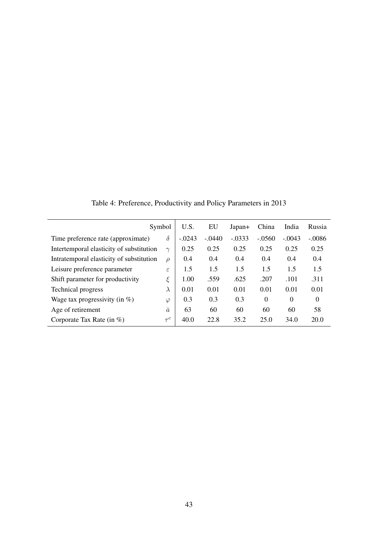|                                          | Symbol        | U.S.     | EU       | Japan+   | China          | India    | Russia   |
|------------------------------------------|---------------|----------|----------|----------|----------------|----------|----------|
| Time preference rate (approximate)       | $\delta$      | $-.0243$ | $-.0440$ | $-.0333$ | $-.0560$       | $-.0043$ | $-.0086$ |
| Intertemporal elasticity of substitution | $\sim$        | 0.25     | 0.25     | 0.25     | 0.25           | 0.25     | 0.25     |
| Intratemporal elasticity of substitution | $\rho$        | 0.4      | 0.4      | 0.4      | 0.4            | 0.4      | 0.4      |
| Leisure preference parameter             | $\varepsilon$ | 1.5      | 1.5      | 1.5      | 1.5            | 1.5      | 1.5      |
| Shift parameter for productivity         | ξ             | 1.00     | .559     | .625     | .207           | .101     | .311     |
| Technical progress                       | $\lambda$     | 0.01     | 0.01     | 0.01     | 0.01           | 0.01     | 0.01     |
| Wage tax progressivity (in $%$ )         | $\varphi$     | 0.3      | 0.3      | 0.3      | $\overline{0}$ | $\theta$ | $\theta$ |
| Age of retirement                        | $\bar{a}$     | 63       | 60       | 60       | 60             | 60       | 58       |
| Corporate Tax Rate (in $\%$ )            | $\tau ^{c}$   | 40.0     | 22.8     | 35.2     | 25.0           | 34.0     | 20.0     |

Table 4: Preference, Productivity and Policy Parameters in 2013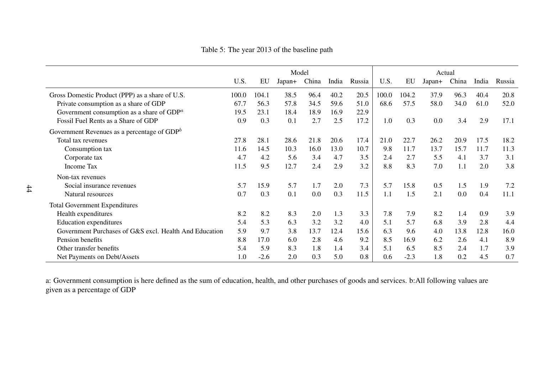Table 5: The year <sup>2013</sup> of the baseline path

|                                                        | Model |        |        |       |       | Actual |       |        |        |       |       |        |
|--------------------------------------------------------|-------|--------|--------|-------|-------|--------|-------|--------|--------|-------|-------|--------|
|                                                        | U.S.  | EU     | Japan+ | China | India | Russia | U.S.  | EU     | Japan+ | China | India | Russia |
| Gross Domestic Product (PPP) as a share of U.S.        | 100.0 | 104.1  | 38.5   | 96.4  | 40.2  | 20.5   | 100.0 | 104.2  | 37.9   | 96.3  | 40.4  | 20.8   |
| Private consumption as a share of GDP                  | 67.7  | 56.3   | 57.8   | 34.5  | 59.6  | 51.0   | 68.6  | 57.5   | 58.0   | 34.0  | 61.0  | 52.0   |
| Government consumption as a share of $GDPa$            | 19.5  | 23.1   | 18.4   | 18.9  | 16.9  | 22.9   |       |        |        |       |       |        |
| Fossil Fuel Rents as a Share of GDP                    | 0.9   | 0.3    | 0.1    | 2.7   | 2.5   | 17.2   | 1.0   | 0.3    | 0.0    | 3.4   | 2.9   | 17.1   |
| Government Revenues as a percentage of $GDPb$          |       |        |        |       |       |        |       |        |        |       |       |        |
| Total tax revenues                                     | 27.8  | 28.1   | 28.6   | 21.8  | 20.6  | 17.4   | 21.0  | 22.7   | 26.2   | 20.9  | 17.5  | 18.2   |
| Consumption tax                                        | 11.6  | 14.5   | 10.3   | 16.0  | 13.0  | 10.7   | 9.8   | 11.7   | 13.7   | 15.7  | 11.7  | 11.3   |
| Corporate tax                                          | 4.7   | 4.2    | 5.6    | 3.4   | 4.7   | 3.5    | 2.4   | 2.7    | 5.5    | 4.1   | 3.7   | 3.1    |
| Income Tax                                             | 11.5  | 9.5    | 12.7   | 2.4   | 2.9   | 3.2    | 8.8   | 8.3    | 7.0    | 1.1   | 2.0   | 3.8    |
| Non-tax revenues                                       |       |        |        |       |       |        |       |        |        |       |       |        |
| Social insurance revenues                              | 5.7   | 15.9   | 5.7    | 1.7   | 2.0   | 7.3    | 5.7   | 15.8   | 0.5    | 1.5   | 1.9   | 7.2    |
| Natural resources                                      | 0.7   | 0.3    | 0.1    | 0.0   | 0.3   | 11.5   | 1.1   | 1.5    | 2.1    | 0.0   | 0.4   | 11.1   |
| <b>Total Government Expenditures</b>                   |       |        |        |       |       |        |       |        |        |       |       |        |
| Health expenditures                                    | 8.2   | 8.2    | 8.3    | 2.0   | 1.3   | 3.3    | 7.8   | 7.9    | 8.2    | 1.4   | 0.9   | 3.9    |
| Education expenditures                                 | 5.4   | 5.3    | 6.3    | 3.2   | 3.2   | 4.0    | 5.1   | 5.7    | 6.8    | 3.9   | 2.8   | 4.4    |
| Government Purchases of G&S excl. Health And Education | 5.9   | 9.7    | 3.8    | 13.7  | 12.4  | 15.6   | 6.3   | 9.6    | 4.0    | 13.8  | 12.8  | 16.0   |
| Pension benefits                                       | 8.8   | 17.0   | 6.0    | 2.8   | 4.6   | 9.2    | 8.5   | 16.9   | 6.2    | 2.6   | 4.1   | 8.9    |
| Other transfer benefits                                | 5.4   | 5.9    | 8.3    | 1.8   | 1.4   | 3.4    | 5.1   | 6.5    | 8.5    | 2.4   | 1.7   | 3.9    |
| Net Payments on Debt/Assets                            | 1.0   | $-2.6$ | 2.0    | 0.3   | 5.0   | 0.8    | 0.6   | $-2.3$ | 1.8    | 0.2   | 4.5   | 0.7    |

a: Government consumption is here defined as the sum of education, health, and other purchases of goods and services. b:All following values aregiven as <sup>a</sup> percentage of GDP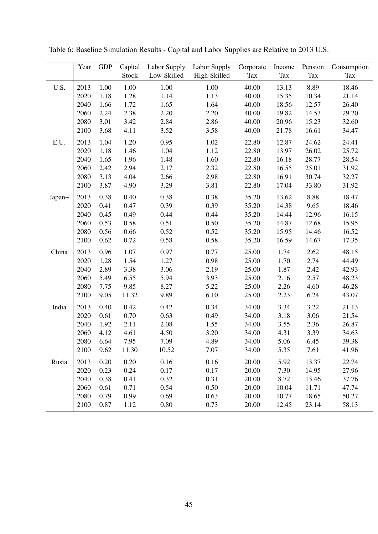|                       | Year | <b>GDP</b> | Capital | Labor Supply | Labor Supply | Corporate | Income | Pension    | Consumption |
|-----------------------|------|------------|---------|--------------|--------------|-----------|--------|------------|-------------|
|                       |      |            | Stock   | Low-Skilled  | High-Skilled | Tax       | Tax    | <b>Tax</b> | Tax         |
| U.S.                  | 2013 | 1.00       | 1.00    | 1.00         | 1.00         | 40.00     | 13.13  | 8.89       | 18.46       |
|                       | 2020 | 1.18       | 1.28    | 1.14         | 1.13         | 40.00     | 15.35  | 10.34      | 21.14       |
|                       | 2040 | 1.66       | 1.72    | 1.65         | 1.64         | 40.00     | 18.56  | 12.57      | 26.40       |
|                       | 2060 | 2.24       | 2.38    | 2.20         | 2.20         | 40.00     | 19.82  | 14.53      | 29.20       |
|                       | 2080 | 3.01       | 3.42    | 2.84         | 2.86         | 40.00     | 20.96  | 15.23      | 32.60       |
|                       | 2100 | 3.68       | 4.11    | 3.52         | 3.58         | 40.00     | 21.78  | 16.61      | 34.47       |
| $\operatorname{E.U.}$ | 2013 | 1.04       | 1.20    | 0.95         | 1.02         | 22.80     | 12.87  | 24.62      | 24.41       |
|                       | 2020 | 1.18       | 1.46    | 1.04         | 1.12         | 22.80     | 13.97  | 26.02      | 25.72       |
|                       | 2040 | 1.65       | 1.96    | 1.48         | 1.60         | 22.80     | 16.18  | 28.77      | 28.54       |
|                       | 2060 | 2.42       | 2.94    | 2.17         | 2.32         | 22.80     | 16.55  | 25.01      | 31.92       |
|                       | 2080 | 3.13       | 4.04    | 2.66         | 2.98         | 22.80     | 16.91  | 30.74      | 32.27       |
|                       | 2100 | 3.87       | 4.90    | 3.29         | 3.81         | 22.80     | 17.04  | 33.80      | 31.92       |
| Japan+                | 2013 | 0.38       | 0.40    | 0.38         | 0.38         | 35.20     | 13.62  | 8.88       | 18.47       |
|                       | 2020 | 0.41       | 0.47    | 0.39         | 0.39         | 35.20     | 14.38  | 9.65       | 18.46       |
|                       | 2040 | 0.45       | 0.49    | 0.44         | 0.44         | 35.20     | 14.44  | 12.96      | 16.15       |
|                       | 2060 | 0.53       | 0.58    | 0.51         | 0.50         | 35.20     | 14.87  | 12.68      | 15.95       |
|                       | 2080 | 0.56       | 0.66    | 0.52         | 0.52         | 35.20     | 15.95  | 14.46      | 16.52       |
|                       | 2100 | 0.62       | 0.72    | 0.58         | 0.58         | 35.20     | 16.59  | 14.67      | 17.35       |
| China                 | 2013 | 0.96       | 1.07    | 0.97         | 0.77         | 25.00     | 1.74   | 2.62       | 48.15       |
|                       | 2020 | 1.28       | 1.54    | 1.27         | 0.98         | 25.00     | 1.70   | 2.74       | 44.49       |
|                       | 2040 | 2.89       | 3.38    | 3.06         | 2.19         | 25.00     | 1.87   | 2.42       | 42.93       |
|                       | 2060 | 5.49       | 6.55    | 5.94         | 3.93         | 25.00     | 2.16   | 2.57       | 48.23       |
|                       | 2080 | 7.75       | 9.85    | 8.27         | 5.22         | 25.00     | 2.26   | 4.60       | 46.28       |
|                       | 2100 | 9.05       | 11.32   | 9.89         | 6.10         | 25.00     | 2.23   | 6.24       | 43.07       |
| India                 | 2013 | 0.40       | 0.42    | 0.42         | 0.34         | 34.00     | 3.34   | 3.22       | 21.13       |
|                       | 2020 | 0.61       | 0.70    | 0.63         | 0.49         | 34.00     | 3.18   | 3.06       | 21.54       |
|                       | 2040 | 1.92       | 2.11    | 2.08         | 1.55         | 34.00     | 3.55   | 2.36       | 26.87       |
|                       | 2060 | 4.12       | 4.61    | 4.50         | 3.20         | 34.00     | 4.31   | 3.39       | 34.63       |
|                       | 2080 | 6.64       | 7.95    | 7.09         | 4.89         | 34.00     | 5.06   | 6.45       | 39.38       |
|                       | 2100 | 9.62       | 11.30   | 10.52        | 7.07         | 34.00     | 5.35   | 7.61       | 41.96       |
| Rusia                 | 2013 | 0.20       | 0.20    | 0.16         | 0.16         | 20.00     | 5.92   | 13.37      | 22.74       |
|                       | 2020 | 0.23       | 0.24    | 0.17         | 0.17         | 20.00     | 7.30   | 14.95      | 27.96       |
|                       | 2040 | 0.38       | 0.41    | 0.32         | 0.31         | 20.00     | 8.72   | 13.46      | 37.76       |
|                       | 2060 | 0.61       | 0.71    | 0.54         | 0.50         | 20.00     | 10.04  | 11.71      | 47.74       |
|                       | 2080 | 0.79       | 0.99    | 0.69         | 0.63         | 20.00     | 10.77  | 18.65      | 50.27       |
|                       | 2100 | 0.87       | 1.12    | 0.80         | 0.73         | 20.00     | 12.45  | 23.14      | 58.13       |

Table 6: Baseline Simulation Results - Capital and Labor Supplies are Relative to 2013 U.S.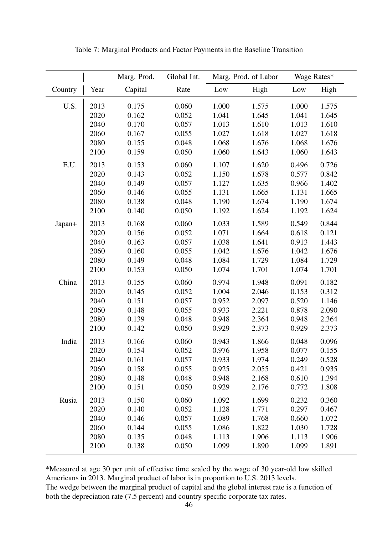|         |      | Marg. Prod. | Global Int. |       | Marg. Prod. of Labor | Wage Rates* |       |
|---------|------|-------------|-------------|-------|----------------------|-------------|-------|
| Country | Year | Capital     | Rate        | Low   | High                 | Low         | High  |
| U.S.    | 2013 | 0.175       | 0.060       | 1.000 | 1.575                | 1.000       | 1.575 |
|         | 2020 | 0.162       | 0.052       | 1.041 | 1.645                | 1.041       | 1.645 |
|         | 2040 | 0.170       | 0.057       | 1.013 | 1.610                | 1.013       | 1.610 |
|         | 2060 | 0.167       | 0.055       | 1.027 | 1.618                | 1.027       | 1.618 |
|         | 2080 | 0.155       | 0.048       | 1.068 | 1.676                | 1.068       | 1.676 |
|         | 2100 | 0.159       | 0.050       | 1.060 | 1.643                | 1.060       | 1.643 |
| E.U.    | 2013 | 0.153       | 0.060       | 1.107 | 1.620                | 0.496       | 0.726 |
|         | 2020 | 0.143       | 0.052       | 1.150 | 1.678                | 0.577       | 0.842 |
|         | 2040 | 0.149       | 0.057       | 1.127 | 1.635                | 0.966       | 1.402 |
|         | 2060 | 0.146       | 0.055       | 1.131 | 1.665                | 1.131       | 1.665 |
|         | 2080 | 0.138       | 0.048       | 1.190 | 1.674                | 1.190       | 1.674 |
|         | 2100 | 0.140       | 0.050       | 1.192 | 1.624                | 1.192       | 1.624 |
| Japan+  | 2013 | 0.168       | 0.060       | 1.033 | 1.589                | 0.549       | 0.844 |
|         | 2020 | 0.156       | 0.052       | 1.071 | 1.664                | 0.618       | 0.121 |
|         | 2040 | 0.163       | 0.057       | 1.038 | 1.641                | 0.913       | 1.443 |
|         | 2060 | 0.160       | 0.055       | 1.042 | 1.676                | 1.042       | 1.676 |
|         | 2080 | 0.149       | 0.048       | 1.084 | 1.729                | 1.084       | 1.729 |
|         | 2100 | 0.153       | 0.050       | 1.074 | 1.701                | 1.074       | 1.701 |
| China   | 2013 | 0.155       | 0.060       | 0.974 | 1.948                | 0.091       | 0.182 |
|         | 2020 | 0.145       | 0.052       | 1.004 | 2.046                | 0.153       | 0.312 |
|         | 2040 | 0.151       | 0.057       | 0.952 | 2.097                | 0.520       | 1.146 |
|         | 2060 | 0.148       | 0.055       | 0.933 | 2.221                | 0.878       | 2.090 |
|         | 2080 | 0.139       | 0.048       | 0.948 | 2.364                | 0.948       | 2.364 |
|         | 2100 | 0.142       | 0.050       | 0.929 | 2.373                | 0.929       | 2.373 |
| India   | 2013 | 0.166       | 0.060       | 0.943 | 1.866                | 0.048       | 0.096 |
|         | 2020 | 0.154       | 0.052       | 0.976 | 1.958                | 0.077       | 0.155 |
|         | 2040 | 0.161       | 0.057       | 0.933 | 1.974                | 0.249       | 0.528 |
|         | 2060 | 0.158       | 0.055       | 0.925 | 2.055                | 0.421       | 0.935 |
|         | 2080 | 0.148       | 0.048       | 0.948 | 2.168                | 0.610       | 1.394 |
|         | 2100 | 0.151       | 0.050       | 0.929 | 2.176                | 0.772       | 1.808 |
| Rusia   | 2013 | 0.150       | 0.060       | 1.092 | 1.699                | 0.232       | 0.360 |
|         | 2020 | 0.140       | 0.052       | 1.128 | 1.771                | 0.297       | 0.467 |
|         | 2040 | 0.146       | 0.057       | 1.089 | 1.768                | 0.660       | 1.072 |
|         | 2060 | 0.144       | 0.055       | 1.086 | 1.822                | 1.030       | 1.728 |
|         | 2080 | 0.135       | 0.048       | 1.113 | 1.906                | 1.113       | 1.906 |
|         | 2100 | 0.138       | 0.050       | 1.099 | 1.890                | 1.099       | 1.891 |

Table 7: Marginal Products and Factor Payments in the Baseline Transition

\*Measured at age 30 per unit of effective time scaled by the wage of 30 year-old low skilled Americans in 2013. Marginal product of labor is in proportion to U.S. 2013 levels.

The wedge between the marginal product of capital and the global interest rate is a function of both the depreciation rate (7.5 percent) and country specific corporate tax rates.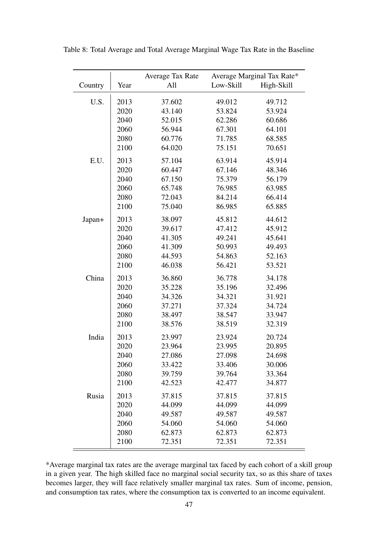|         | Average Marginal Tax Rate*<br>Average Tax Rate |        |           |            |
|---------|------------------------------------------------|--------|-----------|------------|
| Country | Year                                           | All    | Low-Skill | High-Skill |
|         |                                                |        |           |            |
| U.S.    | 2013                                           | 37.602 | 49.012    | 49.712     |
|         | 2020                                           | 43.140 | 53.824    | 53.924     |
|         | 2040                                           | 52.015 | 62.286    | 60.686     |
|         | 2060                                           | 56.944 | 67.301    | 64.101     |
|         | 2080                                           | 60.776 | 71.785    | 68.585     |
|         | 2100                                           | 64.020 | 75.151    | 70.651     |
| E.U.    | 2013                                           | 57.104 | 63.914    | 45.914     |
|         | 2020                                           | 60.447 | 67.146    | 48.346     |
|         | 2040                                           | 67.150 | 75.379    | 56.179     |
|         | 2060                                           | 65.748 | 76.985    | 63.985     |
|         | 2080                                           | 72.043 | 84.214    | 66.414     |
|         | 2100                                           | 75.040 | 86.985    | 65.885     |
| Japan+  | 2013                                           | 38.097 | 45.812    | 44.612     |
|         | 2020                                           | 39.617 | 47.412    | 45.912     |
|         | 2040                                           | 41.305 | 49.241    | 45.641     |
|         | 2060                                           | 41.309 | 50.993    | 49.493     |
|         | 2080                                           | 44.593 | 54.863    | 52.163     |
|         | 2100                                           | 46.038 | 56.421    | 53.521     |
| China   | 2013                                           | 36.860 | 36.778    | 34.178     |
|         | 2020                                           | 35.228 | 35.196    | 32.496     |
|         | 2040                                           | 34.326 | 34.321    | 31.921     |
|         | 2060                                           | 37.271 | 37.324    | 34.724     |
|         | 2080                                           | 38.497 | 38.547    | 33.947     |
|         | 2100                                           | 38.576 | 38.519    | 32.319     |
| India   | 2013                                           | 23.997 | 23.924    | 20.724     |
|         | 2020                                           | 23.964 | 23.995    | 20.895     |
|         | 2040                                           | 27.086 | 27.098    | 24.698     |
|         | 2060                                           | 33.422 | 33.406    | 30.006     |
|         | 2080                                           | 39.759 |           |            |
|         |                                                |        | 39.764    | 33.364     |
|         | 2100                                           | 42.523 | 42.477    | 34.877     |
| Rusia   | 2013                                           | 37.815 | 37.815    | 37.815     |
|         | 2020                                           | 44.099 | 44.099    | 44.099     |
|         | 2040                                           | 49.587 | 49.587    | 49.587     |
|         | 2060                                           | 54.060 | 54.060    | 54.060     |
|         | 2080                                           | 62.873 | 62.873    | 62.873     |
|         | 2100                                           | 72.351 | 72.351    | 72.351     |
|         |                                                |        |           |            |

Table 8: Total Average and Total Average Marginal Wage Tax Rate in the Baseline

\*Average marginal tax rates are the average marginal tax faced by each cohort of a skill group in a given year. The high skilled face no marginal social security tax, so as this share of taxes becomes larger, they will face relatively smaller marginal tax rates. Sum of income, pension, and consumption tax rates, where the consumption tax is converted to an income equivalent.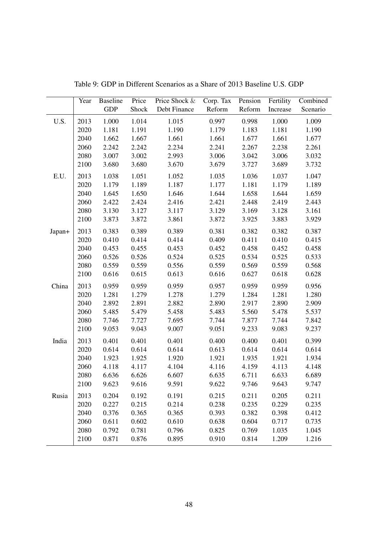|        | Year | <b>Baseline</b> | Price | Price Shock & | Corp. Tax Pension |        | Fertility | Combined |
|--------|------|-----------------|-------|---------------|-------------------|--------|-----------|----------|
|        |      | <b>GDP</b>      | Shock | Debt Finance  | Reform            | Reform | Increase  | Scenario |
| U.S.   | 2013 | 1.000           | 1.014 | 1.015         | 0.997             | 0.998  | 1.000     | 1.009    |
|        | 2020 | 1.181           | 1.191 | 1.190         | 1.179             | 1.183  | 1.181     | 1.190    |
|        | 2040 | 1.662           | 1.667 | 1.661         | 1.661             | 1.677  | 1.661     | 1.677    |
|        | 2060 | 2.242           | 2.242 | 2.234         | 2.241             | 2.267  | 2.238     | 2.261    |
|        | 2080 | 3.007           | 3.002 | 2.993         | 3.006             | 3.042  | 3.006     | 3.032    |
|        | 2100 | 3.680           | 3.680 | 3.670         | 3.679             | 3.727  | 3.689     | 3.732    |
| E.U.   | 2013 | 1.038           | 1.051 | 1.052         | 1.035             | 1.036  | 1.037     | 1.047    |
|        | 2020 | 1.179           | 1.189 | 1.187         | 1.177             | 1.181  | 1.179     | 1.189    |
|        | 2040 | 1.645           | 1.650 | 1.646         | 1.644             | 1.658  | 1.644     | 1.659    |
|        | 2060 | 2.422           | 2.424 | 2.416         | 2.421             | 2.448  | 2.419     | 2.443    |
|        | 2080 | 3.130           | 3.127 | 3.117         | 3.129             | 3.169  | 3.128     | 3.161    |
|        | 2100 | 3.873           | 3.872 | 3.861         | 3.872             | 3.925  | 3.883     | 3.929    |
| Japan+ | 2013 | 0.383           | 0.389 | 0.389         | 0.381             | 0.382  | 0.382     | 0.387    |
|        | 2020 | 0.410           | 0.414 | 0.414         | 0.409             | 0.411  | 0.410     | 0.415    |
|        | 2040 | 0.453           | 0.455 | 0.453         | 0.452             | 0.458  | 0.452     | 0.458    |
|        | 2060 | 0.526           | 0.526 | 0.524         | 0.525             | 0.534  | 0.525     | 0.533    |
|        | 2080 | 0.559           | 0.559 | 0.556         | 0.559             | 0.569  | 0.559     | 0.568    |
|        | 2100 | 0.616           | 0.615 | 0.613         | 0.616             | 0.627  | 0.618     | 0.628    |
| China  | 2013 | 0.959           | 0.959 | 0.959         | 0.957             | 0.959  | 0.959     | 0.956    |
|        | 2020 | 1.281           | 1.279 | 1.278         | 1.279             | 1.284  | 1.281     | 1.280    |
|        | 2040 | 2.892           | 2.891 | 2.882         | 2.890             | 2.917  | 2.890     | 2.909    |
|        | 2060 | 5.485           | 5.479 | 5.458         | 5.483             | 5.560  | 5.478     | 5.537    |
|        | 2080 | 7.746           | 7.727 | 7.695         | 7.744             | 7.877  | 7.744     | 7.842    |
|        | 2100 | 9.053           | 9.043 | 9.007         | 9.051             | 9.233  | 9.083     | 9.237    |
| India  | 2013 | 0.401           | 0.401 | 0.401         | 0.400             | 0.400  | 0.401     | 0.399    |
|        | 2020 | 0.614           | 0.614 | 0.614         | 0.613             | 0.614  | 0.614     | 0.614    |
|        | 2040 | 1.923           | 1.925 | 1.920         | 1.921             | 1.935  | 1.921     | 1.934    |
|        | 2060 | 4.118           | 4.117 | 4.104         | 4.116             | 4.159  | 4.113     | 4.148    |
|        | 2080 | 6.636           | 6.626 | 6.607         | 6.635             | 6.711  | 6.633     | 6.689    |
|        | 2100 | 9.623           | 9.616 | 9.591         | 9.622             | 9.746  | 9.643     | 9.747    |
| Rusia  | 2013 | 0.204           | 0.192 | 0.191         | 0.215             | 0.211  | 0.205     | 0.211    |
|        | 2020 | 0.227           | 0.215 | 0.214         | 0.238             | 0.235  | 0.229     | 0.235    |
|        | 2040 | 0.376           | 0.365 | 0.365         | 0.393             | 0.382  | 0.398     | 0.412    |
|        | 2060 | 0.611           | 0.602 | 0.610         | 0.638             | 0.604  | 0.717     | 0.735    |
|        | 2080 | 0.792           | 0.781 | 0.796         | 0.825             | 0.769  | 1.035     | 1.045    |
|        | 2100 | 0.871           | 0.876 | 0.895         | 0.910             | 0.814  | 1.209     | 1.216    |

Table 9: GDP in Different Scenarios as a Share of 2013 Baseline U.S. GDP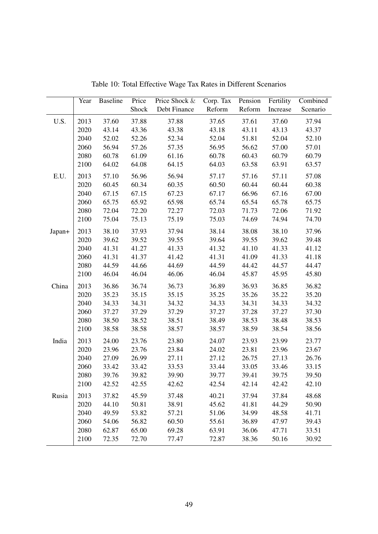|        | Year | <b>Baseline</b> | Price | Price Shock & | Corp. Tax | Pension | Fertility | Combined |
|--------|------|-----------------|-------|---------------|-----------|---------|-----------|----------|
|        |      |                 | Shock | Debt Finance  | Reform    | Reform  | Increase  | Scenario |
| U.S.   | 2013 | 37.60           | 37.88 | 37.88         | 37.65     | 37.61   | 37.60     | 37.94    |
|        | 2020 | 43.14           | 43.36 | 43.38         | 43.18     | 43.11   | 43.13     | 43.37    |
|        | 2040 | 52.02           | 52.26 | 52.34         | 52.04     | 51.81   | 52.04     | 52.10    |
|        | 2060 | 56.94           | 57.26 | 57.35         | 56.95     | 56.62   | 57.00     | 57.01    |
|        | 2080 | 60.78           | 61.09 | 61.16         | 60.78     | 60.43   | 60.79     | 60.79    |
|        | 2100 | 64.02           | 64.08 | 64.15         | 64.03     | 63.58   | 63.91     | 63.57    |
| E.U.   | 2013 | 57.10           | 56.96 | 56.94         | 57.17     | 57.16   | 57.11     | 57.08    |
|        | 2020 | 60.45           | 60.34 | 60.35         | 60.50     | 60.44   | 60.44     | 60.38    |
|        | 2040 | 67.15           | 67.15 | 67.23         | 67.17     | 66.96   | 67.16     | 67.00    |
|        | 2060 | 65.75           | 65.92 | 65.98         | 65.74     | 65.54   | 65.78     | 65.75    |
|        | 2080 | 72.04           | 72.20 | 72.27         | 72.03     | 71.73   | 72.06     | 71.92    |
|        | 2100 | 75.04           | 75.13 | 75.19         | 75.03     | 74.69   | 74.94     | 74.70    |
| Japan+ | 2013 | 38.10           | 37.93 | 37.94         | 38.14     | 38.08   | 38.10     | 37.96    |
|        | 2020 | 39.62           | 39.52 | 39.55         | 39.64     | 39.55   | 39.62     | 39.48    |
|        | 2040 | 41.31           | 41.27 | 41.33         | 41.32     | 41.10   | 41.33     | 41.12    |
|        | 2060 | 41.31           | 41.37 | 41.42         | 41.31     | 41.09   | 41.33     | 41.18    |
|        | 2080 | 44.59           | 44.66 | 44.69         | 44.59     | 44.42   | 44.57     | 44.47    |
|        | 2100 | 46.04           | 46.04 | 46.06         | 46.04     | 45.87   | 45.95     | 45.80    |
| China  | 2013 | 36.86           | 36.74 | 36.73         | 36.89     | 36.93   | 36.85     | 36.82    |
|        | 2020 | 35.23           | 35.15 | 35.15         | 35.25     | 35.26   | 35.22     | 35.20    |
|        | 2040 | 34.33           | 34.31 | 34.32         | 34.33     | 34.31   | 34.33     | 34.32    |
|        | 2060 | 37.27           | 37.29 | 37.29         | 37.27     | 37.28   | 37.27     | 37.30    |
|        | 2080 | 38.50           | 38.52 | 38.51         | 38.49     | 38.53   | 38.48     | 38.53    |
|        | 2100 | 38.58           | 38.58 | 38.57         | 38.57     | 38.59   | 38.54     | 38.56    |
| India  | 2013 | 24.00           | 23.76 | 23.80         | 24.07     | 23.93   | 23.99     | 23.77    |
|        | 2020 | 23.96           | 23.76 | 23.84         | 24.02     | 23.81   | 23.96     | 23.67    |
|        | 2040 | 27.09           | 26.99 | 27.11         | 27.12     | 26.75   | 27.13     | 26.76    |
|        | 2060 | 33.42           | 33.42 | 33.53         | 33.44     | 33.05   | 33.46     | 33.15    |
|        | 2080 | 39.76           | 39.82 | 39.90         | 39.77     | 39.41   | 39.75     | 39.50    |
|        | 2100 | 42.52           | 42.55 | 42.62         | 42.54     | 42.14   | 42.42     | 42.10    |
| Rusia  | 2013 | 37.82           | 45.59 | 37.48         | 40.21     | 37.94   | 37.84     | 48.68    |
|        | 2020 | 44.10           | 50.81 | 38.91         | 45.62     | 41.81   | 44.29     | 50.90    |
|        | 2040 | 49.59           | 53.82 | 57.21         | 51.06     | 34.99   | 48.58     | 41.71    |
|        | 2060 | 54.06           | 56.82 | 60.50         | 55.61     | 36.89   | 47.97     | 39.43    |
|        | 2080 | 62.87           | 65.00 | 69.28         | 63.91     | 36.06   | 47.71     | 33.51    |
|        | 2100 | 72.35           | 72.70 | 77.47         | 72.87     | 38.36   | 50.16     | 30.92    |

Table 10: Total Effective Wage Tax Rates in Different Scenarios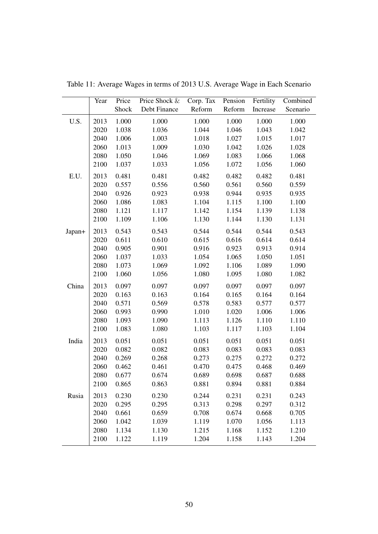|        | Year | Price | Price Shock & | Corp. Tax Pension |        | Fertility | Combined |
|--------|------|-------|---------------|-------------------|--------|-----------|----------|
|        |      | Shock | Debt Finance  | Reform            | Reform | Increase  | Scenario |
| U.S.   | 2013 | 1.000 | 1.000         | 1.000             | 1.000  | 1.000     | 1.000    |
|        | 2020 | 1.038 | 1.036         | 1.044             | 1.046  | 1.043     | 1.042    |
|        | 2040 | 1.006 | 1.003         | 1.018             | 1.027  | 1.015     | 1.017    |
|        | 2060 | 1.013 | 1.009         | 1.030             | 1.042  | 1.026     | 1.028    |
|        | 2080 | 1.050 | 1.046         | 1.069             | 1.083  | 1.066     | 1.068    |
|        | 2100 | 1.037 | 1.033         | 1.056             | 1.072  | 1.056     | 1.060    |
| E.U.   | 2013 | 0.481 | 0.481         | 0.482             | 0.482  | 0.482     | 0.481    |
|        | 2020 | 0.557 | 0.556         | 0.560             | 0.561  | 0.560     | 0.559    |
|        | 2040 | 0.926 | 0.923         | 0.938             | 0.944  | 0.935     | 0.935    |
|        | 2060 | 1.086 | 1.083         | 1.104             | 1.115  | 1.100     | 1.100    |
|        | 2080 | 1.121 | 1.117         | 1.142             | 1.154  | 1.139     | 1.138    |
|        | 2100 | 1.109 | 1.106         | 1.130             | 1.144  | 1.130     | 1.131    |
| Japan+ | 2013 | 0.543 | 0.543         | 0.544             | 0.544  | 0.544     | 0.543    |
|        | 2020 | 0.611 | 0.610         | 0.615             | 0.616  | 0.614     | 0.614    |
|        | 2040 | 0.905 | 0.901         | 0.916             | 0.923  | 0.913     | 0.914    |
|        | 2060 | 1.037 | 1.033         | 1.054             | 1.065  | 1.050     | 1.051    |
|        | 2080 | 1.073 | 1.069         | 1.092             | 1.106  | 1.089     | 1.090    |
|        | 2100 | 1.060 | 1.056         | 1.080             | 1.095  | 1.080     | 1.082    |
| China  | 2013 | 0.097 | 0.097         | 0.097             | 0.097  | 0.097     | 0.097    |
|        | 2020 | 0.163 | 0.163         | 0.164             | 0.165  | 0.164     | 0.164    |
|        | 2040 | 0.571 | 0.569         | 0.578             | 0.583  | 0.577     | 0.577    |
|        | 2060 | 0.993 | 0.990         | 1.010             | 1.020  | 1.006     | 1.006    |
|        | 2080 | 1.093 | 1.090         | 1.113             | 1.126  | 1.110     | 1.110    |
|        | 2100 | 1.083 | 1.080         | 1.103             | 1.117  | 1.103     | 1.104    |
| India  | 2013 | 0.051 | 0.051         | 0.051             | 0.051  | 0.051     | 0.051    |
|        | 2020 | 0.082 | 0.082         | 0.083             | 0.083  | 0.083     | 0.083    |
|        | 2040 | 0.269 | 0.268         | 0.273             | 0.275  | 0.272     | 0.272    |
|        | 2060 | 0.462 | 0.461         | 0.470             | 0.475  | 0.468     | 0.469    |
|        | 2080 | 0.677 | 0.674         | 0.689             | 0.698  | 0.687     | 0.688    |
|        | 2100 | 0.865 | 0.863         | 0.881             | 0.894  | 0.881     | 0.884    |
| Rusia  | 2013 | 0.230 | 0.230         | 0.244             | 0.231  | 0.231     | 0.243    |
|        | 2020 | 0.295 | 0.295         | 0.313             | 0.298  | 0.297     | 0.312    |
|        | 2040 | 0.661 | 0.659         | 0.708             | 0.674  | 0.668     | 0.705    |
|        | 2060 | 1.042 | 1.039         | 1.119             | 1.070  | 1.056     | 1.113    |
|        | 2080 | 1.134 | 1.130         | 1.215             | 1.168  | 1.152     | 1.210    |
|        | 2100 | 1.122 | 1.119         | 1.204             | 1.158  | 1.143     | 1.204    |

Table 11: Average Wages in terms of 2013 U.S. Average Wage in Each Scenario